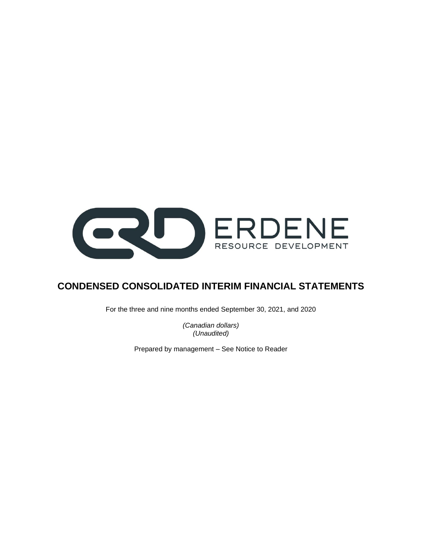

# **CONDENSED CONSOLIDATED INTERIM FINANCIAL STATEMENTS**

For the three and nine months ended September 30, 2021, and 2020

*(Canadian dollars) (Unaudited)*

Prepared by management – See Notice to Reader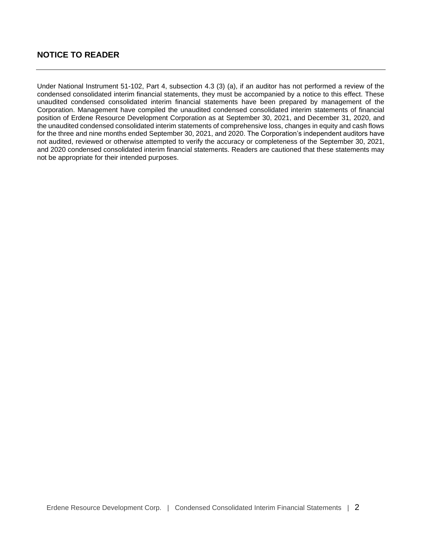# **NOTICE TO READER**

Under National Instrument 51-102, Part 4, subsection 4.3 (3) (a), if an auditor has not performed a review of the condensed consolidated interim financial statements, they must be accompanied by a notice to this effect. These unaudited condensed consolidated interim financial statements have been prepared by management of the Corporation. Management have compiled the unaudited condensed consolidated interim statements of financial position of Erdene Resource Development Corporation as at September 30, 2021, and December 31, 2020, and the unaudited condensed consolidated interim statements of comprehensive loss, changes in equity and cash flows for the three and nine months ended September 30, 2021, and 2020. The Corporation's independent auditors have not audited, reviewed or otherwise attempted to verify the accuracy or completeness of the September 30, 2021, and 2020 condensed consolidated interim financial statements. Readers are cautioned that these statements may not be appropriate for their intended purposes.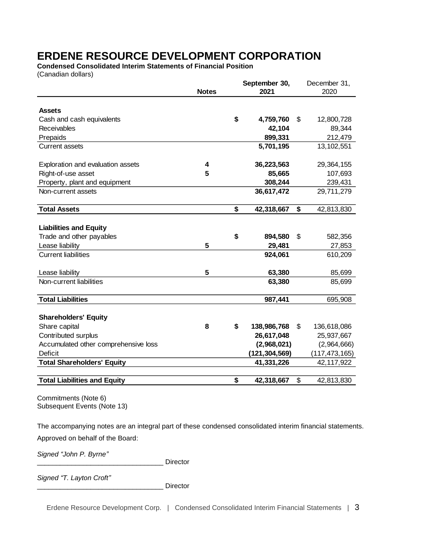**Condensed Consolidated Interim Statements of Financial Position** (Canadian dollars)

|                                      |              | September 30, |               | December 31,      |
|--------------------------------------|--------------|---------------|---------------|-------------------|
|                                      | <b>Notes</b> |               | 2021          | 2020              |
|                                      |              |               |               |                   |
| <b>Assets</b>                        |              |               |               |                   |
| Cash and cash equivalents            |              | \$            | 4,759,760     | \$<br>12,800,728  |
| Receivables                          |              |               | 42,104        | 89,344            |
| Prepaids                             |              |               | 899,331       | 212,479           |
| <b>Current assets</b>                |              |               | 5,701,195     | 13,102,551        |
| Exploration and evaluation assets    | 4            |               | 36,223,563    | 29,364,155        |
| Right-of-use asset                   | 5            |               | 85,665        | 107,693           |
| Property, plant and equipment        |              |               | 308,244       | 239,431           |
| Non-current assets                   |              |               | 36,617,472    | 29,711,279        |
| <b>Total Assets</b>                  |              | \$            | 42,318,667    | \$<br>42,813,830  |
|                                      |              |               |               |                   |
| <b>Liabilities and Equity</b>        |              |               |               |                   |
| Trade and other payables             |              | \$            | 894,580       | \$<br>582,356     |
| Lease liability                      | 5            |               | 29,481        | 27,853            |
| <b>Current liabilities</b>           |              |               | 924,061       | 610,209           |
| Lease liability                      | 5            |               | 63,380        | 85,699            |
| Non-current liabilities              |              |               | 63,380        | 85,699            |
| <b>Total Liabilities</b>             |              |               | 987,441       | 695,908           |
|                                      |              |               |               |                   |
| <b>Shareholders' Equity</b>          |              |               |               |                   |
| Share capital                        | 8            | \$            | 138,986,768   | \$<br>136,618,086 |
| Contributed surplus                  |              |               | 26,617,048    | 25,937,667        |
| Accumulated other comprehensive loss |              |               | (2,968,021)   | (2,964,666)       |
| <b>Deficit</b>                       |              |               | (121,304,569) | (117, 473, 165)   |
| <b>Total Shareholders' Equity</b>    |              |               | 41,331,226    | 42,117,922        |
|                                      |              |               |               |                   |
| <b>Total Liabilities and Equity</b>  |              | \$            | 42,318,667    | \$<br>42,813,830  |

Commitments (Note 6) Subsequent Events (Note 13)

The accompanying notes are an integral part of these condensed consolidated interim financial statements. Approved on behalf of the Board:

*Signed "John P. Byrne"*

Director

*Signed "T. Layton Croft"*

\_\_\_\_\_\_\_\_\_\_\_\_\_\_\_\_\_\_\_\_\_\_\_\_\_\_\_\_\_\_\_\_\_ Director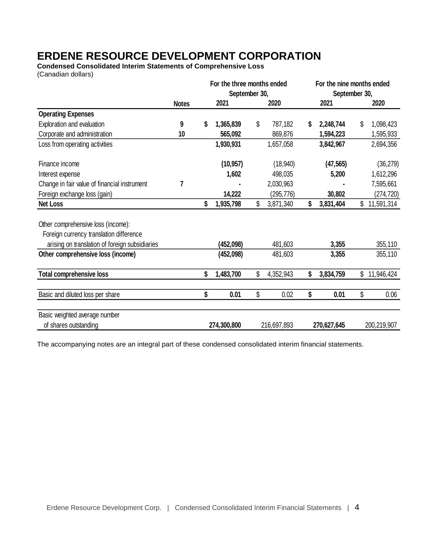**Condensed Consolidated Interim Statements of Comprehensive Loss** (Canadian dollars)

|                                                |              | For the three months ended<br>September 30, |      |             |      | For the nine months ended<br>September 30, |      |             |
|------------------------------------------------|--------------|---------------------------------------------|------|-------------|------|--------------------------------------------|------|-------------|
|                                                | <b>Notes</b> | 2021                                        | 2020 |             | 2021 |                                            | 2020 |             |
| <b>Operating Expenses</b>                      |              |                                             |      |             |      |                                            |      |             |
| Exploration and evaluation                     | 9            | \$<br>1,365,839                             | \$   | 787,182     | S    | 2,248,744                                  | \$   | 1,098,423   |
| Corporate and administration                   | 10           | 565,092                                     |      | 869,876     |      | 1,594,223                                  |      | 1,595,933   |
| Loss from operating activities                 |              | 1,930,931                                   |      | 1,657,058   |      | 3,842,967                                  |      | 2,694,356   |
| Finance income                                 |              | (10, 957)                                   |      | (18, 940)   |      | (47, 565)                                  |      | (36, 279)   |
| Interest expense                               |              | 1,602                                       |      | 498,035     |      | 5,200                                      |      | 1,612,296   |
| Change in fair value of financial instrument   | 7            |                                             |      | 2,030,963   |      |                                            |      | 7,595,661   |
| Foreign exchange loss (gain)                   |              | 14,222                                      |      | (295, 776)  |      | 30,802                                     |      | (274, 720)  |
| Net Loss                                       |              | \$<br>1,935,798                             | \$   | 3,871,340   | \$   | 3,831,404                                  | \$   | 11,591,314  |
| Other comprehensive loss (income):             |              |                                             |      |             |      |                                            |      |             |
| Foreign currency translation difference        |              |                                             |      |             |      |                                            |      |             |
| arising on translation of foreign subsidiaries |              | (452,098)                                   |      | 481,603     |      | 3,355                                      |      | 355,110     |
| Other comprehensive loss (income)              |              | (452,098)                                   |      | 481,603     |      | 3,355                                      |      | 355,110     |
| <b>Total comprehensive loss</b>                |              | \$<br>1,483,700                             | \$   | 4,352,943   | \$   | 3,834,759                                  | \$   | 11,946,424  |
| Basic and diluted loss per share               |              | \$<br>0.01                                  | \$   | 0.02        | \$   | 0.01                                       | \$   | 0.06        |
| Basic weighted average number                  |              |                                             |      |             |      |                                            |      |             |
| of shares outstanding                          |              | 274,300,800                                 |      | 216,697,893 |      | 270,627,645                                |      | 200,219,907 |

The accompanying notes are an integral part of these condensed consolidated interim financial statements.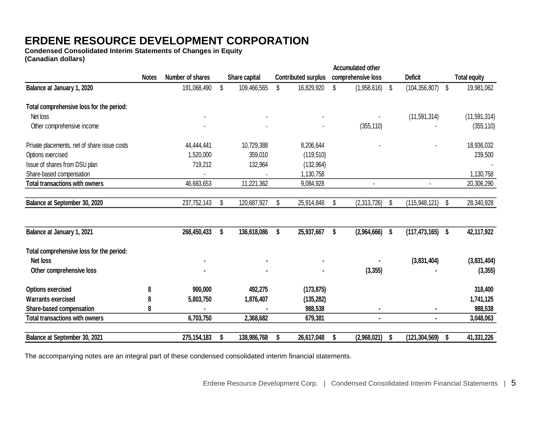**Condensed Consolidated Interim Statements of Changes in Equity (Canadian dollars)**

|                                              |              |                  |    |               |    |                            | <b>Accumulated other</b> |    |                      |    |                     |
|----------------------------------------------|--------------|------------------|----|---------------|----|----------------------------|--------------------------|----|----------------------|----|---------------------|
|                                              | <b>Notes</b> | Number of shares |    | Share capital |    | <b>Contributed surplus</b> | comprehensive loss       |    | <b>Deficit</b>       |    | <b>Total equity</b> |
| Balance at January 1, 2020                   |              | 191,068,490      | \$ | 109,466,565   | \$ | 16,829,920                 | \$<br>$(1,958,616)$ \$   |    | (104, 356, 807)      | \$ | 19,981,062          |
| Total comprehensive loss for the period:     |              |                  |    |               |    |                            |                          |    |                      |    |                     |
| Net loss                                     |              |                  |    |               |    |                            |                          |    | (11, 591, 314)       |    | (11, 591, 314)      |
| Other comprehensive income                   |              |                  |    |               |    |                            | (355, 110)               |    |                      |    | (355, 110)          |
| Private placements, net of share issue costs |              | 44,444,441       |    | 10,729,388    |    | 8,206,644                  |                          |    |                      |    | 18,936,032          |
| Options exercised                            |              | 1,520,000        |    | 359,010       |    | (119, 510)                 |                          |    |                      |    | 239,500             |
| Issue of shares from DSU plan                |              | 719,212          |    | 132,964       |    | (132, 964)                 |                          |    |                      |    |                     |
| Share-based compensation                     |              |                  |    |               |    | 1,130,758                  |                          |    |                      |    | 1,130,758           |
| <b>Total transactions with owners</b>        |              | 46,683,653       |    | 11,221,362    |    | 9,084,928                  | $\overline{a}$           |    |                      |    | 20,306,290          |
| Balance at September 30, 2020                |              | 237,752,143      | \$ | 120,687,927   | S  | 25,914,848                 | \$<br>(2,313,726)        | S. | (115, 948, 121)      | S  | 28,340,928          |
| Balance at January 1, 2021                   |              | 268,450,433      | \$ | 136,618,086   | \$ | 25,937,667                 | \$<br>$(2,964,666)$ \$   |    | $(117, 473, 165)$ \$ |    | 42,117,922          |
| Total comprehensive loss for the period:     |              |                  |    |               |    |                            |                          |    |                      |    |                     |
| Net loss                                     |              |                  |    |               |    |                            |                          |    | (3,831,404)          |    | (3,831,404)         |
| Other comprehensive loss                     |              |                  |    |               |    |                            | (3, 355)                 |    |                      |    | (3, 355)            |
| <b>Options exercised</b>                     | 8            | 900,000          |    | 492,275       |    | (173, 875)                 |                          |    |                      |    | 318,400             |
| <b>Warrants exercised</b>                    | 8            | 5,803,750        |    | 1,876,407     |    | (135, 282)                 |                          |    |                      |    | 1,741,125           |
| Share-based compensation                     | 8            |                  |    |               |    | 988,538                    |                          |    |                      |    | 988,538             |
| <b>Total transactions with owners</b>        |              | 6,703,750        |    | 2,368,682     |    | 679,381                    |                          |    |                      |    | 3,048,063           |
| Balance at September 30, 2021                |              | 275, 154, 183    | S  | 138,986,768   | S  | 26,617,048                 | \$<br>(2,968,021)        | S  | (121, 304, 569)      | S  | 41,331,226          |

The accompanying notes are an integral part of these condensed consolidated interim financial statements.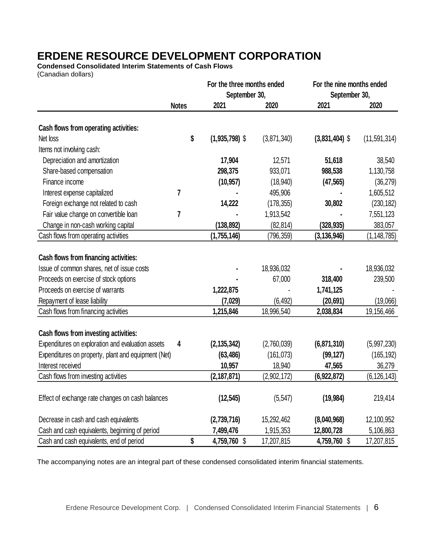**Condensed Consolidated Interim Statements of Cash Flows** (Canadian dollars)

**For the three months ended For the nine months ended September 30, September 30, Notes 2021 2020 2021 2020 Cash flows from operating activities:** Net loss **\$ (1,935,798)** \$ (3,871,340) **(3,831,404)** \$ (11,591,314) Items not involving cash: Depreciation and amortization **17,904** 12,571 **51,618** 38,540 Share-based compensation **298,375** 933,071 **988,538** 1,130,758 Finance income **(10,957)** (18,940) **(47,565)** (36,279) Interest expense capitalized **7 -** 495,906 **-** 1,605,512 Foreign exchange not related to cash **14,222** (178,355) **30,802** (230,182) Fair value change on convertible loan **7 -** 1,913,542 **-** 7,551,123 Change in non-cash working capital **(138,892)** (82,814) **(328,935)** 383,057 Cash flows from operating activities **(1,755,146)** (796,359) **(3,136,946)** (1,148,785) **Cash flows from financing activities:** Issue of common shares, net of issue costs **-** 18,936,032 **-** 18,936,032 Proceeds on exercise of stock options **-** 67,000 **318,400** 239,500 Proceeds on exercise of warrants **1,222,875** - **1,741,125** - Repayment of lease liability **(7,029)** (6,492) **(20,691)** (19,066) Cash flows from financing activities **1,215,846** 18,996,540 **2,038,834** 19,156,466 **Cash flows from investing activities:** Expenditures on exploration and evaluation assets **4 (2,135,342)** (2,760,039) **(6,871,310)** (5,997,230) Expenditures on property, plant and equipment (Net) **(63,486)** (161,073) **(99,127)** (165,192) Interest received **10,957** 18,940 **47,565** 36,279 Cash flows from investing activities **(2,187,871)** (2,902,172) **(6,922,872)** (6,126,143) Effect of exchange rate changes on cash balances **(12,545)** (5,547) **(19,984)** 219,414 Decrease in cash and cash equivalents **(2,739,716)** 15,292,462 **(8,040,968)** 12,100,952 Cash and cash equivalents, beginning of period **7,499,476** 1,915,353 **12,800,728** 5,106,863 Cash and cash equivalents, end of period **\$ 4,759,760** \$ 17,207,815 **4,759,760** \$ 17,207,815

The accompanying notes are an integral part of these condensed consolidated interim financial statements.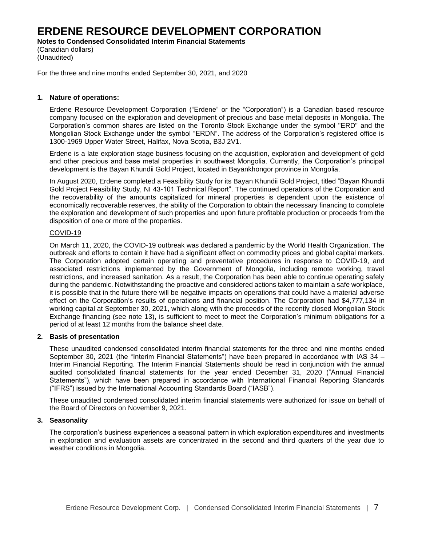**Notes to Condensed Consolidated Interim Financial Statements**

(Canadian dollars) (Unaudited)

For the three and nine months ended September 30, 2021, and 2020

## **1. Nature of operations:**

Erdene Resource Development Corporation ("Erdene" or the "Corporation") is a Canadian based resource company focused on the exploration and development of precious and base metal deposits in Mongolia. The Corporation's common shares are listed on the Toronto Stock Exchange under the symbol "ERD" and the Mongolian Stock Exchange under the symbol "ERDN". The address of the Corporation's registered office is 1300-1969 Upper Water Street, Halifax, Nova Scotia, B3J 2V1.

Erdene is a late exploration stage business focusing on the acquisition, exploration and development of gold and other precious and base metal properties in southwest Mongolia. Currently, the Corporation's principal development is the Bayan Khundii Gold Project, located in Bayankhongor province in Mongolia.

In August 2020, Erdene completed a Feasibility Study for its Bayan Khundii Gold Project, titled "Bayan Khundii Gold Project Feasibility Study, NI 43-101 Technical Report". The continued operations of the Corporation and the recoverability of the amounts capitalized for mineral properties is dependent upon the existence of economically recoverable reserves, the ability of the Corporation to obtain the necessary financing to complete the exploration and development of such properties and upon future profitable production or proceeds from the disposition of one or more of the properties.

# COVID-19

On March 11, 2020, the COVID-19 outbreak was declared a pandemic by the World Health Organization. The outbreak and efforts to contain it have had a significant effect on commodity prices and global capital markets. The Corporation adopted certain operating and preventative procedures in response to COVID-19, and associated restrictions implemented by the Government of Mongolia, including remote working, travel restrictions, and increased sanitation. As a result, the Corporation has been able to continue operating safely during the pandemic. Notwithstanding the proactive and considered actions taken to maintain a safe workplace, it is possible that in the future there will be negative impacts on operations that could have a material adverse effect on the Corporation's results of operations and financial position. The Corporation had \$4,777,134 in working capital at September 30, 2021, which along with the proceeds of the recently closed Mongolian Stock Exchange financing (see note 13), is sufficient to meet to meet the Corporation's minimum obligations for a period of at least 12 months from the balance sheet date.

## **2. Basis of presentation**

These unaudited condensed consolidated interim financial statements for the three and nine months ended September 30, 2021 (the "Interim Financial Statements") have been prepared in accordance with IAS 34 – Interim Financial Reporting. The Interim Financial Statements should be read in conjunction with the annual audited consolidated financial statements for the year ended December 31, 2020 ("Annual Financial Statements"), which have been prepared in accordance with International Financial Reporting Standards ("IFRS") issued by the International Accounting Standards Board ("IASB").

These unaudited condensed consolidated interim financial statements were authorized for issue on behalf of the Board of Directors on November 9, 2021.

## **3. Seasonality**

The corporation's business experiences a seasonal pattern in which exploration expenditures and investments in exploration and evaluation assets are concentrated in the second and third quarters of the year due to weather conditions in Mongolia.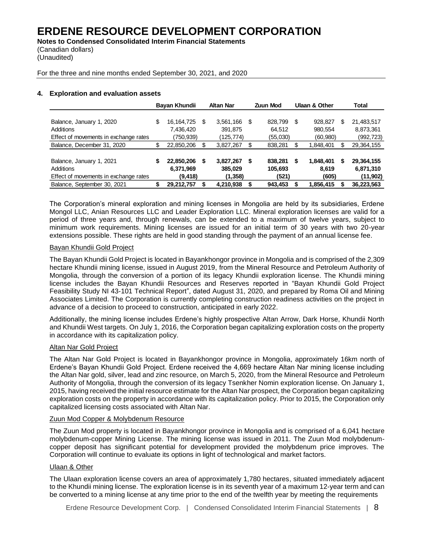**Notes to Condensed Consolidated Interim Financial Statements** (Canadian dollars)

(Unaudited)

For the three and nine months ended September 30, 2021, and 2020

## **4. Exploration and evaluation assets**

|                                       |    | Bayan Khundii |    | <b>Altan Nar</b> |    | <b>Zuun Mod</b> |   | Ulaan & Other |    | Total        |
|---------------------------------------|----|---------------|----|------------------|----|-----------------|---|---------------|----|--------------|
|                                       |    |               |    |                  |    |                 |   |               |    |              |
| Balance, January 1, 2020              | \$ | 16,164,725    | -S | 3,561,166        | -S | 828,799         | S | 928.827       | S  | 21,483,517   |
| Additions                             |    | 7,436,420     |    | 391.875          |    | 64.512          |   | 980.554       |    | 8,873,361    |
| Effect of movements in exchange rates |    | (750,939)     |    | (125, 774)       |    | (55,030)        |   | (60, 980)     |    | (992, 723)   |
| Balance, December 31, 2020            | \$ | 22,850,206    | S  | 3,827,267        |    | 838,281         |   | 1,848,401     | \$ | 29, 364, 155 |
|                                       |    |               |    |                  |    |                 |   |               |    |              |
| Balance, January 1, 2021              | S  | 22,850,206    | S  | 3.827.267        | S  | 838.281         | S | 1,848,401     | S  | 29,364,155   |
| Additions                             |    | 6,371,969     |    | 385.029          |    | 105.693         |   | 8.619         |    | 6,871,310    |
| Effect of movements in exchange rates |    | (9, 418)      |    | (1,358)          |    | (521)           |   | (605)         |    | (11,902)     |
| Balance, September 30, 2021           |    | 29,212,757    |    | 4,210,938        |    | 943,453         |   | 1,856,415     |    | 36,223,563   |

The Corporation's mineral exploration and mining licenses in Mongolia are held by its subsidiaries, Erdene Mongol LLC, Anian Resources LLC and Leader Exploration LLC. Mineral exploration licenses are valid for a period of three years and, through renewals, can be extended to a maximum of twelve years, subject to minimum work requirements. Mining licenses are issued for an initial term of 30 years with two 20-year extensions possible. These rights are held in good standing through the payment of an annual license fee.

## Bayan Khundii Gold Project

The Bayan Khundii Gold Project is located in Bayankhongor province in Mongolia and is comprised of the 2,309 hectare Khundii mining license, issued in August 2019, from the Mineral Resource and Petroleum Authority of Mongolia, through the conversion of a portion of its legacy Khundii exploration license. The Khundii mining license includes the Bayan Khundii Resources and Reserves reported in "Bayan Khundii Gold Project Feasibility Study NI 43-101 Technical Report", dated August 31, 2020, and prepared by Roma Oil and Mining Associates Limited. The Corporation is currently completing construction readiness activities on the project in advance of a decision to proceed to construction, anticipated in early 2022.

Additionally, the mining license includes Erdene's highly prospective Altan Arrow, Dark Horse, Khundii North and Khundii West targets. On July 1, 2016, the Corporation began capitalizing exploration costs on the property in accordance with its capitalization policy.

## Altan Nar Gold Project

The Altan Nar Gold Project is located in Bayankhongor province in Mongolia, approximately 16km north of Erdene's Bayan Khundii Gold Project. Erdene received the 4,669 hectare Altan Nar mining license including the Altan Nar gold, silver, lead and zinc resource, on March 5, 2020, from the Mineral Resource and Petroleum Authority of Mongolia, through the conversion of its legacy Tsenkher Nomin exploration license. On January 1, 2015, having received the initial resource estimate for the Altan Nar prospect, the Corporation began capitalizing exploration costs on the property in accordance with its capitalization policy. Prior to 2015, the Corporation only capitalized licensing costs associated with Altan Nar.

## Zuun Mod Copper & Molybdenum Resource

The Zuun Mod property is located in Bayankhongor province in Mongolia and is comprised of a 6,041 hectare molybdenum-copper Mining License. The mining license was issued in 2011. The Zuun Mod molybdenumcopper deposit has significant potential for development provided the molybdenum price improves. The Corporation will continue to evaluate its options in light of technological and market factors.

## Ulaan & Other

The Ulaan exploration license covers an area of approximately 1,780 hectares, situated immediately adjacent to the Khundii mining license. The exploration license is in its seventh year of a maximum 12-year term and can be converted to a mining license at any time prior to the end of the twelfth year by meeting the requirements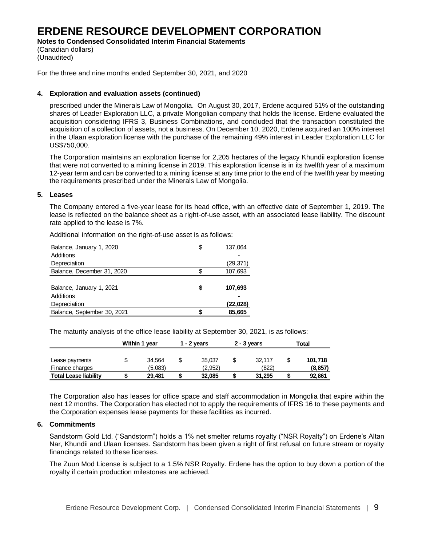**Notes to Condensed Consolidated Interim Financial Statements**

(Canadian dollars) (Unaudited)

For the three and nine months ended September 30, 2021, and 2020

## **4. Exploration and evaluation assets (continued)**

prescribed under the Minerals Law of Mongolia. On August 30, 2017, Erdene acquired 51% of the outstanding shares of Leader Exploration LLC, a private Mongolian company that holds the license. Erdene evaluated the acquisition considering IFRS 3, Business Combinations, and concluded that the transaction constituted the acquisition of a collection of assets, not a business. On December 10, 2020, Erdene acquired an 100% interest in the Ulaan exploration license with the purchase of the remaining 49% interest in Leader Exploration LLC for US\$750,000.

The Corporation maintains an exploration license for 2,205 hectares of the legacy Khundii exploration license that were not converted to a mining license in 2019. This exploration license is in its twelfth year of a maximum 12-year term and can be converted to a mining license at any time prior to the end of the twelfth year by meeting the requirements prescribed under the Minerals Law of Mongolia.

#### **5. Leases**

The Company entered a five-year lease for its head office, with an effective date of September 1, 2019. The lease is reflected on the balance sheet as a right-of-use asset, with an associated lease liability. The discount rate applied to the lease is 7%.

Additional information on the right-of-use asset is as follows:

| Balance, January 1, 2020    | \$ | 137,064   |
|-----------------------------|----|-----------|
| Additions                   |    |           |
| Depreciation                |    | (29,371)  |
| Balance, December 31, 2020  |    | 107,693   |
|                             |    |           |
| Balance, January 1, 2021    | S  | 107,693   |
| Additions                   |    |           |
| Depreciation                |    | (22, 028) |
| Balance, September 30, 2021 |    | 85.665    |

The maturity analysis of the office lease liability at September 30, 2021, is as follows:

|                                   | Within 1 year     |   | 1 - 2 vears       | $2 - 3$ years   | Total               |
|-----------------------------------|-------------------|---|-------------------|-----------------|---------------------|
| Lease payments<br>Finance charges | 34.564<br>(5,083) |   | 35.037<br>(2.952) | 32.117<br>(822) | 101.718<br>(8, 857) |
| <b>Total Lease liability</b>      | 29.481            | æ | 32.085            | 31.295          | 92,861              |

The Corporation also has leases for office space and staff accommodation in Mongolia that expire within the next 12 months. The Corporation has elected not to apply the requirements of IFRS 16 to these payments and the Corporation expenses lease payments for these facilities as incurred.

## **6. Commitments**

Sandstorm Gold Ltd. ("Sandstorm") holds a 1% net smelter returns royalty ("NSR Royalty") on Erdene's Altan Nar, Khundii and Ulaan licenses. Sandstorm has been given a right of first refusal on future stream or royalty financings related to these licenses.

The Zuun Mod License is subject to a 1.5% NSR Royalty. Erdene has the option to buy down a portion of the royalty if certain production milestones are achieved.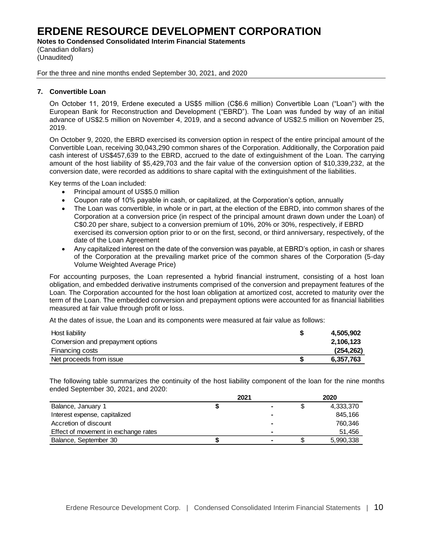**Notes to Condensed Consolidated Interim Financial Statements**

(Canadian dollars) (Unaudited)

For the three and nine months ended September 30, 2021, and 2020

#### **7. Convertible Loan**

On October 11, 2019, Erdene executed a US\$5 million (C\$6.6 million) Convertible Loan ("Loan") with the European Bank for Reconstruction and Development ("EBRD"). The Loan was funded by way of an initial advance of US\$2.5 million on November 4, 2019, and a second advance of US\$2.5 million on November 25, 2019.

On October 9, 2020, the EBRD exercised its conversion option in respect of the entire principal amount of the Convertible Loan, receiving 30,043,290 common shares of the Corporation. Additionally, the Corporation paid cash interest of US\$457,639 to the EBRD, accrued to the date of extinguishment of the Loan. The carrying amount of the host liability of \$5,429,703 and the fair value of the conversion option of \$10,339,232, at the conversion date, were recorded as additions to share capital with the extinguishment of the liabilities.

Key terms of the Loan included:

- Principal amount of US\$5.0 million
- Coupon rate of 10% payable in cash, or capitalized, at the Corporation's option, annually
- The Loan was convertible, in whole or in part, at the election of the EBRD, into common shares of the Corporation at a conversion price (in respect of the principal amount drawn down under the Loan) of C\$0.20 per share, subject to a conversion premium of 10%, 20% or 30%, respectively, if EBRD exercised its conversion option prior to or on the first, second, or third anniversary, respectively, of the date of the Loan Agreement
- Any capitalized interest on the date of the conversion was payable, at EBRD's option, in cash or shares of the Corporation at the prevailing market price of the common shares of the Corporation (5-day Volume Weighted Average Price)

For accounting purposes, the Loan represented a hybrid financial instrument, consisting of a host loan obligation, and embedded derivative instruments comprised of the conversion and prepayment features of the Loan. The Corporation accounted for the host loan obligation at amortized cost, accreted to maturity over the term of the Loan. The embedded conversion and prepayment options were accounted for as financial liabilities measured at fair value through profit or loss.

At the dates of issue, the Loan and its components were measured at fair value as follows:

| Host liability                    | 4,505,902  |
|-----------------------------------|------------|
| Conversion and prepayment options | 2,106,123  |
| Financing costs                   | (254, 262) |
| Net proceeds from issue           | 6,357,763  |

The following table summarizes the continuity of the host liability component of the loan for the nine months ended September 30, 2021, and 2020:

|                                      | 2021 |   | 2020      |
|--------------------------------------|------|---|-----------|
| Balance, January 1                   |      |   | 4,333,370 |
| Interest expense, capitalized        |      |   | 845.166   |
| Accretion of discount                |      | - | 760.346   |
| Effect of movement in exchange rates |      |   | 51,456    |
| Balance, September 30                |      |   | 5,990,338 |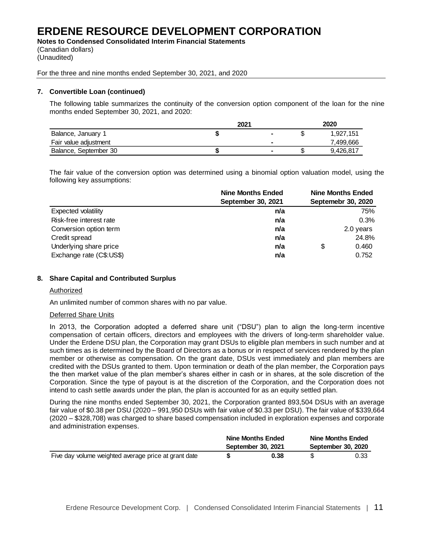**Notes to Condensed Consolidated Interim Financial Statements** (Canadian dollars)

(Unaudited)

For the three and nine months ended September 30, 2021, and 2020

## **7. Convertible Loan (continued)**

The following table summarizes the continuity of the conversion option component of the loan for the nine months ended September 30, 2021, and 2020:

|                       | 2021 |                |    | 2020      |
|-----------------------|------|----------------|----|-----------|
| Balance, January 1    |      |                | ъD | 1.927.151 |
| Fair value adjustment |      |                |    | 7,499,666 |
| Balance, September 30 |      | $\blacksquare$ | Ф  | 9,426,817 |

The fair value of the conversion option was determined using a binomial option valuation model, using the following key assumptions:

|                          | <b>Nine Months Ended</b> | <b>Nine Months Ended</b> |
|--------------------------|--------------------------|--------------------------|
|                          | September 30, 2021       | Septemebr 30, 2020       |
| Expected volatility      | n/a                      | 75%                      |
| Risk-free interest rate  | n/a                      | 0.3%                     |
| Conversion option term   | n/a                      | 2.0 years                |
| Credit spread            | n/a                      | 24.8%                    |
| Underlying share price   | n/a                      | \$<br>0.460              |
| Exchange rate (C\$:US\$) | n/a                      | 0.752                    |

## **8. Share Capital and Contributed Surplus**

#### Authorized

An unlimited number of common shares with no par value.

#### Deferred Share Units

In 2013, the Corporation adopted a deferred share unit ("DSU") plan to align the long-term incentive compensation of certain officers, directors and employees with the drivers of long-term shareholder value. Under the Erdene DSU plan, the Corporation may grant DSUs to eligible plan members in such number and at such times as is determined by the Board of Directors as a bonus or in respect of services rendered by the plan member or otherwise as compensation. On the grant date, DSUs vest immediately and plan members are credited with the DSUs granted to them. Upon termination or death of the plan member, the Corporation pays the then market value of the plan member's shares either in cash or in shares, at the sole discretion of the Corporation. Since the type of payout is at the discretion of the Corporation, and the Corporation does not intend to cash settle awards under the plan, the plan is accounted for as an equity settled plan.

During the nine months ended September 30, 2021, the Corporation granted 893,504 DSUs with an average fair value of \$0.38 per DSU (2020 – 991,950 DSUs with fair value of \$0.33 per DSU). The fair value of \$339,664 (2020 – \$328,708) was charged to share based compensation included in exploration expenses and corporate and administration expenses.

|                                                      | <b>Nine Months Ended</b> | Nine Months Ended  |
|------------------------------------------------------|--------------------------|--------------------|
|                                                      | September 30, 2021       | September 30, 2020 |
| Five day volume weighted average price at grant date | 0.38                     | 0.33               |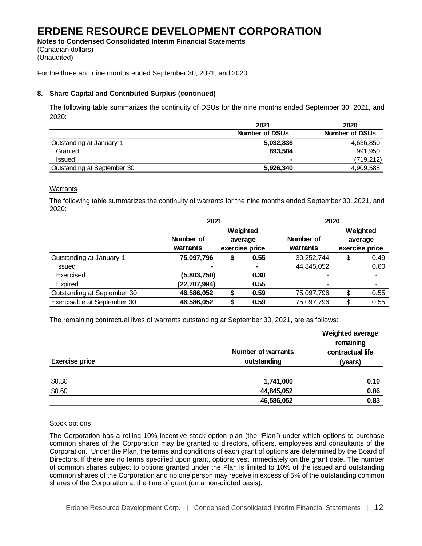**Notes to Condensed Consolidated Interim Financial Statements** (Canadian dollars) (Unaudited)

For the three and nine months ended September 30, 2021, and 2020

## **8. Share Capital and Contributed Surplus (continued)**

The following table summarizes the continuity of DSUs for the nine months ended September 30, 2021, and 2020:

|                             | 2021                  | 2020                  |
|-----------------------------|-----------------------|-----------------------|
|                             | <b>Number of DSUs</b> | <b>Number of DSUs</b> |
| Outstanding at January 1    | 5,032,836             | 4,636,850             |
| Granted                     | 893.504               | 991.950               |
| <b>Issued</b>               |                       | (719,212)             |
| Outstanding at September 30 | 5,926,340             | 4,909,588             |

## **Warrants**

The following table summarizes the continuity of warrants for the nine months ended September 30, 2021, and 2020:

|                             | 2021         |                |                | 2020       |    |          |  |          |  |                |
|-----------------------------|--------------|----------------|----------------|------------|----|----------|--|----------|--|----------------|
|                             |              |                | Weighted       |            |    | Weighted |  |          |  |                |
|                             | Number of    |                | average        | Number of  |    | average  |  |          |  |                |
|                             | warrants     | exercise price |                |            |    |          |  | warrants |  | exercise price |
| Outstanding at January 1    | 75,097,796   | \$             | 0.55           | 30,252,744 | \$ | 0.49     |  |          |  |                |
| <b>Issued</b>               |              |                | $\blacksquare$ | 44,845,052 |    | 0.60     |  |          |  |                |
| Exercised                   | (5,803,750)  |                | 0.30           |            |    |          |  |          |  |                |
| Expired                     | (22,707,994) |                | 0.55           |            |    |          |  |          |  |                |
| Outstanding at September 30 | 46,586,052   |                | 0.59           | 75,097,796 | \$ | 0.55     |  |          |  |                |
| Exercisable at September 30 | 46,586,052   | \$             | 0.59           | 75,097,796 | \$ | 0.55     |  |          |  |                |

The remaining contractual lives of warrants outstanding at September 30, 2021, are as follows:

| <b>Exercise price</b> | <b>Number of warrants</b><br>outstanding | Weighted average<br>remaining<br>contractual life<br>(years) |
|-----------------------|------------------------------------------|--------------------------------------------------------------|
| \$0.30<br>\$0.60      | 1,741,000<br>44,845,052                  | 0.10<br>0.86                                                 |
|                       | 46,586,052                               | 0.83                                                         |

## Stock options

The Corporation has a rolling 10% incentive stock option plan (the "Plan") under which options to purchase common shares of the Corporation may be granted to directors, officers, employees and consultants of the Corporation. Under the Plan, the terms and conditions of each grant of options are determined by the Board of Directors. If there are no terms specified upon grant, options vest immediately on the grant date. The number of common shares subject to options granted under the Plan is limited to 10% of the issued and outstanding common shares of the Corporation and no one person may receive in excess of 5% of the outstanding common shares of the Corporation at the time of grant (on a non-diluted basis).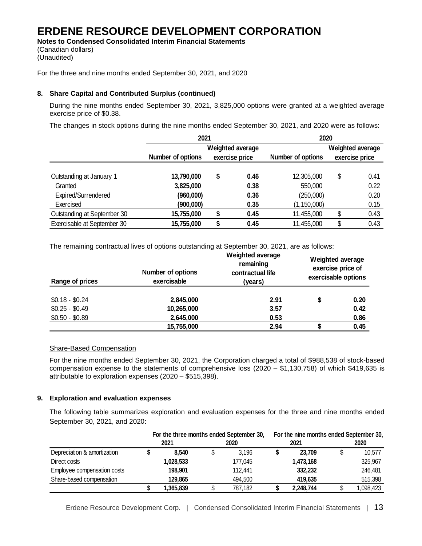**Notes to Condensed Consolidated Interim Financial Statements** (Canadian dollars)

(Unaudited)

For the three and nine months ended September 30, 2021, and 2020

# **8. Share Capital and Contributed Surplus (continued)**

During the nine months ended September 30, 2021, 3,825,000 options were granted at a weighted average exercise price of \$0.38.

The changes in stock options during the nine months ended September 30, 2021, and 2020 were as follows:

|                             | 2021                                                    |    |      |                   | 2020 |                                    |  |  |
|-----------------------------|---------------------------------------------------------|----|------|-------------------|------|------------------------------------|--|--|
|                             | Weighted average<br>Number of options<br>exercise price |    |      | Number of options |      | Weighted average<br>exercise price |  |  |
| Outstanding at January 1    | 13,790,000                                              | \$ | 0.46 | 12,305,000        | \$   | 0.41                               |  |  |
| Granted                     | 3,825,000                                               |    | 0.38 | 550,000           |      | 0.22                               |  |  |
| Expired/Surrendered         | (960,000)                                               |    | 0.36 | (250,000)         |      | 0.20                               |  |  |
| Exercised                   | (900,000)                                               |    | 0.35 | (1, 150, 000)     |      | 0.15                               |  |  |
| Outstanding at September 30 | 15,755,000                                              |    | 0.45 | 11,455,000        | \$   | 0.43                               |  |  |
| Exercisable at September 30 | 15,755,000                                              |    | 0.45 | 11,455,000        | \$   | 0.43                               |  |  |

The remaining contractual lives of options outstanding at September 30, 2021, are as follows:

| Range of prices | <b>Number of options</b><br>exercisable | <b>Weighted average</b><br>remaining<br>contractual life<br>(years) | Weighted average<br>exercise price of<br>exercisable options |      |  |  |
|-----------------|-----------------------------------------|---------------------------------------------------------------------|--------------------------------------------------------------|------|--|--|
|                 |                                         |                                                                     |                                                              |      |  |  |
| $$0.18 - $0.24$ | 2,845,000                               | 2.91                                                                |                                                              | 0.20 |  |  |
| $$0.25 - $0.49$ | 10,265,000                              | 3.57                                                                |                                                              | 0.42 |  |  |
| $$0.50 - $0.89$ | 2,645,000                               | 0.53                                                                |                                                              | 0.86 |  |  |
|                 | 15,755,000                              | 2.94                                                                |                                                              | 0.45 |  |  |

## Share-Based Compensation

For the nine months ended September 30, 2021, the Corporation charged a total of \$988,538 of stock-based compensation expense to the statements of comprehensive loss (2020 – \$1,130,758) of which \$419,635 is attributable to exploration expenses (2020 – \$515,398).

## **9. Exploration and evaluation expenses**

The following table summarizes exploration and evaluation expenses for the three and nine months ended September 30, 2021, and 2020:

|                             | For the three months ended September 30, |  |         | For the nine months ended September 30, |           |  |           |  |
|-----------------------------|------------------------------------------|--|---------|-----------------------------------------|-----------|--|-----------|--|
|                             | 2021                                     |  | 2020    |                                         | 2021      |  | 2020      |  |
| Depreciation & amortization | 8.540                                    |  | 3.196   |                                         | 23.709    |  | 10,577    |  |
| Direct costs                | 1,028,533                                |  | 177,045 |                                         | 1,473,168 |  | 325,967   |  |
| Employee compensation costs | 198.901                                  |  | 112.441 |                                         | 332,232   |  | 246,481   |  |
| Share-based compensation    | 129.865                                  |  | 494.500 |                                         | 419.635   |  | 515.398   |  |
|                             | 1,365,839                                |  | 787.182 |                                         | 2,248,744 |  | 1,098,423 |  |

Erdene Resource Development Corp. | Condensed Consolidated Interim Financial Statements | 13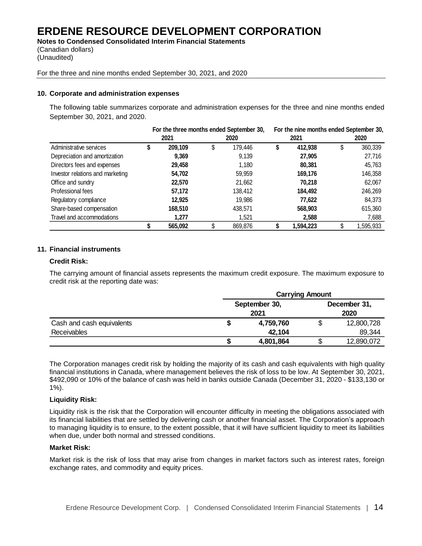**Notes to Condensed Consolidated Interim Financial Statements** (Canadian dollars)

(Unaudited)

For the three and nine months ended September 30, 2021, and 2020

## **10. Corporate and administration expenses**

The following table summarizes corporate and administration expenses for the three and nine months ended September 30, 2021, and 2020.

|                                  |    | For the three months ended September 30, |         | For the nine months ended September 30, |         |           |        |           |
|----------------------------------|----|------------------------------------------|---------|-----------------------------------------|---------|-----------|--------|-----------|
|                                  |    | 2021                                     |         | 2020                                    |         | 2021      |        | 2020      |
| Administrative services          | J. | 209,109                                  | \$      | 179,446                                 | S       | 412,938   | S      | 360,339   |
| Depreciation and amortization    |    | 9,369                                    |         | 9,139                                   |         | 27,905    |        | 27,716    |
| Directors fees and expenses      |    | 29,458                                   |         | 1,180                                   |         | 80,381    |        | 45,763    |
| Investor relations and marketing |    | 54,702                                   |         | 59,959                                  |         | 169,176   |        | 146,358   |
| Office and sundry                |    | 22,570                                   |         | 21,662                                  |         | 70,218    |        | 62,067    |
| Professional fees                |    | 57,172                                   |         | 138,412                                 |         | 184,492   |        | 246,269   |
| Regulatory compliance            |    | 12,925                                   | 19,986  |                                         | 77,622  |           | 84,373 |           |
| Share-based compensation         |    | 168,510                                  | 438,571 |                                         | 568,903 |           |        | 615,360   |
| Travel and accommodations        |    | 1.277                                    |         | 1.521                                   |         | 2,588     |        | 7,688     |
|                                  |    | 565,092                                  | \$      | 869,876                                 |         | 1,594,223 |        | 1,595,933 |

## **11. Financial instruments**

#### **Credit Risk:**

The carrying amount of financial assets represents the maximum credit exposure. The maximum exposure to credit risk at the reporting date was:

|                           | <b>Carrying Amount</b> |   |                      |  |  |
|---------------------------|------------------------|---|----------------------|--|--|
|                           | September 30,<br>2021  |   | December 31,<br>2020 |  |  |
| Cash and cash equivalents | 4,759,760              |   | 12,800,728           |  |  |
| Receivables               | 42,104                 |   | 89,344               |  |  |
|                           | 4,801,864              | S | 12,890,072           |  |  |

The Corporation manages credit risk by holding the majority of its cash and cash equivalents with high quality financial institutions in Canada, where management believes the risk of loss to be low. At September 30, 2021, \$492,090 or 10% of the balance of cash was held in banks outside Canada (December 31, 2020 - \$133,130 or 1%).

## **Liquidity Risk:**

Liquidity risk is the risk that the Corporation will encounter difficulty in meeting the obligations associated with its financial liabilities that are settled by delivering cash or another financial asset. The Corporation's approach to managing liquidity is to ensure, to the extent possible, that it will have sufficient liquidity to meet its liabilities when due, under both normal and stressed conditions.

## **Market Risk:**

Market risk is the risk of loss that may arise from changes in market factors such as interest rates, foreign exchange rates, and commodity and equity prices.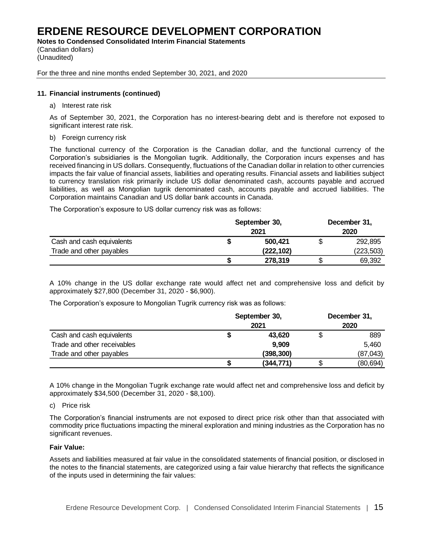**Notes to Condensed Consolidated Interim Financial Statements**

(Canadian dollars) (Unaudited)

For the three and nine months ended September 30, 2021, and 2020

# **11. Financial instruments (continued)**

a) Interest rate risk

As of September 30, 2021, the Corporation has no interest-bearing debt and is therefore not exposed to significant interest rate risk.

b) Foreign currency risk

The functional currency of the Corporation is the Canadian dollar, and the functional currency of the Corporation's subsidiaries is the Mongolian tugrik. Additionally, the Corporation incurs expenses and has received financing in US dollars. Consequently, fluctuations of the Canadian dollar in relation to other currencies impacts the fair value of financial assets, liabilities and operating results. Financial assets and liabilities subject to currency translation risk primarily include US dollar denominated cash, accounts payable and accrued liabilities, as well as Mongolian tugrik denominated cash, accounts payable and accrued liabilities. The Corporation maintains Canadian and US dollar bank accounts in Canada.

The Corporation's exposure to US dollar currency risk was as follows:

|                           | September 30,<br>2021 | December 31,<br>2020 |            |  |
|---------------------------|-----------------------|----------------------|------------|--|
| Cash and cash equivalents | 500,421               |                      | 292,895    |  |
| Trade and other payables  | (222, 102)            |                      | (223, 503) |  |
|                           | 278,319               |                      | 69,392     |  |

A 10% change in the US dollar exchange rate would affect net and comprehensive loss and deficit by approximately \$27,800 (December 31, 2020 - \$6,900).

The Corporation's exposure to Mongolian Tugrik currency risk was as follows:

|                             | September 30,<br>2021 | December 31,<br>2020 |  |  |
|-----------------------------|-----------------------|----------------------|--|--|
| Cash and cash equivalents   | 43,620                | 889                  |  |  |
| Trade and other receivables | 9,909                 | 5,460                |  |  |
| Trade and other payables    | (398, 300)            | (87, 043)            |  |  |
|                             | (344, 771)            | (80, 694)            |  |  |

A 10% change in the Mongolian Tugrik exchange rate would affect net and comprehensive loss and deficit by approximately \$34,500 (December 31, 2020 - \$8,100).

## c) Price risk

The Corporation's financial instruments are not exposed to direct price risk other than that associated with commodity price fluctuations impacting the mineral exploration and mining industries as the Corporation has no significant revenues.

## **Fair Value:**

Assets and liabilities measured at fair value in the consolidated statements of financial position, or disclosed in the notes to the financial statements, are categorized using a fair value hierarchy that reflects the significance of the inputs used in determining the fair values: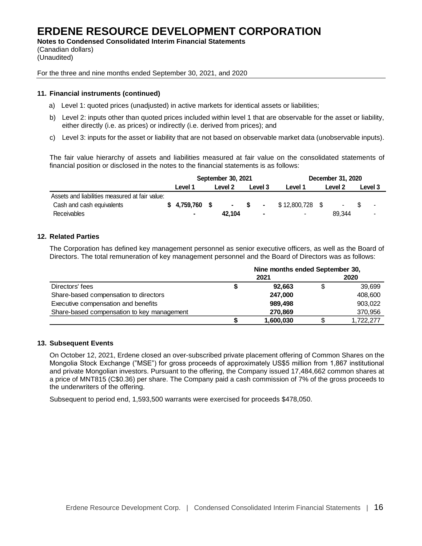**Notes to Condensed Consolidated Interim Financial Statements**

(Canadian dollars) (Unaudited)

For the three and nine months ended September 30, 2021, and 2020

# **11. Financial instruments (continued)**

- a) Level 1: quoted prices (unadjusted) in active markets for identical assets or liabilities;
- b) Level 2: inputs other than quoted prices included within level 1 that are observable for the asset or liability, either directly (i.e. as prices) or indirectly (i.e. derived from prices); and
- c) Level 3: inputs for the asset or liability that are not based on observable market data (unobservable inputs).

The fair value hierarchy of assets and liabilities measured at fair value on the consolidated statements of financial position or disclosed in the notes to the financial statements is as follows:

|                                                | September 30, 2021 |  |         |  | December 31, 2020 |                 |  |                 |  |                |
|------------------------------------------------|--------------------|--|---------|--|-------------------|-----------------|--|-----------------|--|----------------|
|                                                | Level 1            |  | Level 2 |  | Level 3           | Level 1         |  | Level 2         |  | Level 3        |
| Assets and liabilities measured at fair value: |                    |  |         |  |                   |                 |  |                 |  |                |
| Cash and cash equivalents                      | $$4,759,760$ \$    |  |         |  | $-$ \$ $-$        | \$12,800,728 \$ |  | $\sim 10^{-11}$ |  | $\blacksquare$ |
| <b>Receivables</b>                             | $\blacksquare$     |  | 42.104  |  | $\blacksquare$    |                 |  | 89.344          |  | $\blacksquare$ |

# **12. Related Parties**

The Corporation has defined key management personnel as senior executive officers, as well as the Board of Directors. The total remuneration of key management personnel and the Board of Directors was as follows:

|                                            | Nine months ended September 30, |           |  |           |  |  |  |
|--------------------------------------------|---------------------------------|-----------|--|-----------|--|--|--|
|                                            |                                 | 2021      |  | 2020      |  |  |  |
| Directors' fees                            |                                 | 92.663    |  | 39,699    |  |  |  |
| Share-based compensation to directors      |                                 | 247,000   |  | 408,600   |  |  |  |
| Executive compensation and benefits        |                                 | 989,498   |  | 903,022   |  |  |  |
| Share-based compensation to key management |                                 | 270,869   |  | 370,956   |  |  |  |
|                                            |                                 | 1,600,030 |  | 1.722.277 |  |  |  |

# **13. Subsequent Events**

On October 12, 2021, Erdene closed an over-subscribed private placement offering of Common Shares on the Mongolia Stock Exchange ("MSE") for gross proceeds of approximately US\$5 million from 1,867 institutional and private Mongolian investors. Pursuant to the offering, the Company issued 17,484,662 common shares at a price of MNT815 (C\$0.36) per share. The Company paid a cash commission of 7% of the gross proceeds to the underwriters of the offering.

Subsequent to period end, 1,593,500 warrants were exercised for proceeds \$478,050.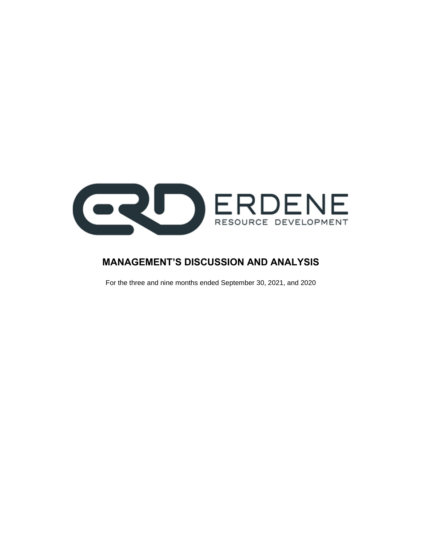

# **MANAGEMENT'S DISCUSSION AND ANALYSIS**

For the three and nine months ended September 30, 2021, and 2020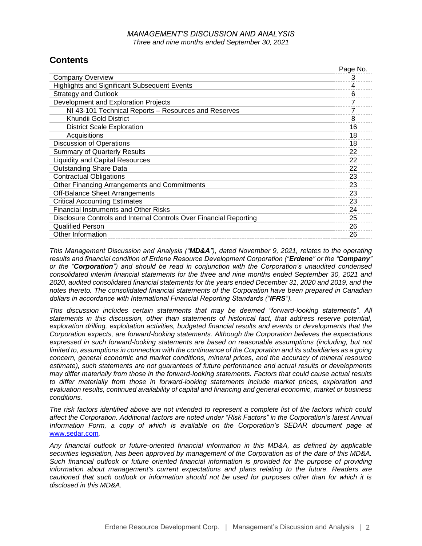# *MANAGEMENT'S DISCUSSION AND ANALYSIS Three and nine months ended September 30, 2021*

Page No.

# **Contents**

|                                                                    | Page No. |
|--------------------------------------------------------------------|----------|
| <b>Company Overview</b>                                            | 3        |
| <b>Highlights and Significant Subsequent Events</b>                | 4        |
| <b>Strategy and Outlook</b>                                        | 6        |
| Development and Exploration Projects                               |          |
| NI 43-101 Technical Reports - Resources and Reserves               |          |
| Khundii Gold District                                              | 8        |
| <b>District Scale Exploration</b>                                  | 16       |
| Acquisitions                                                       | 18       |
| <b>Discussion of Operations</b>                                    | 18       |
| <b>Summary of Quarterly Results</b>                                | 22       |
| <b>Liquidity and Capital Resources</b>                             | 22       |
| <b>Outstanding Share Data</b>                                      | 22       |
| <b>Contractual Obligations</b>                                     | 23       |
| Other Financing Arrangements and Commitments                       | 23       |
| Off-Balance Sheet Arrangements                                     | 23       |
| <b>Critical Accounting Estimates</b>                               | 23       |
| <b>Financial Instruments and Other Risks</b>                       | 24       |
| Disclosure Controls and Internal Controls Over Financial Reporting | 25       |
| <b>Qualified Person</b>                                            | 26       |
| Other Information                                                  | 26       |

*This Management Discussion and Analysis ("MD&A"), dated November 9, 2021, relates to the operating results and financial condition of Erdene Resource Development Corporation ("Erdene" or the "Company" or the "Corporation") and should be read in conjunction with the Corporation's unaudited condensed consolidated interim financial statements for the three and nine months ended September 30, 2021 and 2020, audited consolidated financial statements for the years ended December 31, 2020 and 2019, and the notes thereto. The consolidated financial statements of the Corporation have been prepared in Canadian dollars in accordance with International Financial Reporting Standards ("IFRS").*

*This discussion includes certain statements that may be deemed "forward-looking statements". All statements in this discussion, other than statements of historical fact, that address reserve potential, exploration drilling, exploitation activities, budgeted financial results and events or developments that the Corporation expects, are forward-looking statements. Although the Corporation believes the expectations expressed in such forward-looking statements are based on reasonable assumptions (including, but not limited to, assumptions in connection with the continuance of the Corporation and its subsidiaries as a going concern, general economic and market conditions, mineral prices, and the accuracy of mineral resource estimate), such statements are not guarantees of future performance and actual results or developments may differ materially from those in the forward-looking statements. Factors that could cause actual results to differ materially from those in forward-looking statements include market prices, exploration and evaluation results, continued availability of capital and financing and general economic, market or business conditions.*

*The risk factors identified above are not intended to represent a complete list of the factors which could affect the Corporation. Additional factors are noted under "Risk Factors" in the Corporation's latest Annual Information Form, a copy of which is available on the Corporation's SEDAR document page at*  [www.sedar.com](http://www.sedar.com/)*.*

*Any financial outlook or future-oriented financial information in this MD&A, as defined by applicable securities legislation, has been approved by management of the Corporation as of the date of this MD&A. Such financial outlook or future oriented financial information is provided for the purpose of providing information about management's current expectations and plans relating to the future. Readers are cautioned that such outlook or information should not be used for purposes other than for which it is disclosed in this MD&A.*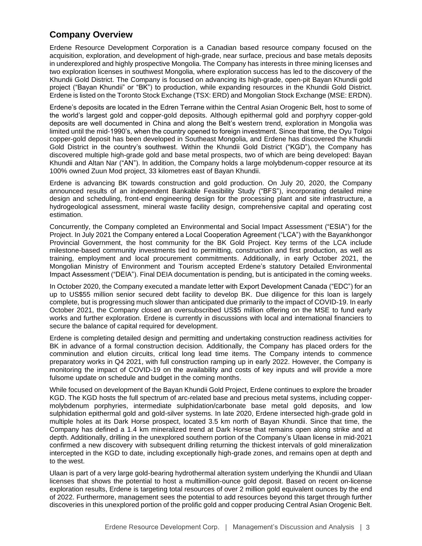# **Company Overview**

Erdene Resource Development Corporation is a Canadian based resource company focused on the acquisition, exploration, and development of high-grade, near surface, precious and base metals deposits in underexplored and highly prospective Mongolia. The Company has interests in three mining licenses and two exploration licenses in southwest Mongolia, where exploration success has led to the discovery of the Khundii Gold District. The Company is focused on advancing its high-grade, open-pit Bayan Khundii gold project ("Bayan Khundii" or "BK") to production, while expanding resources in the Khundii Gold District. Erdene is listed on the Toronto Stock Exchange (TSX: ERD) and Mongolian Stock Exchange (MSE: ERDN).

Erdene's deposits are located in the Edren Terrane within the Central Asian Orogenic Belt, host to some of the world's largest gold and copper-gold deposits. Although epithermal gold and porphyry copper-gold deposits are well documented in China and along the Belt's western trend, exploration in Mongolia was limited until the mid-1990's, when the country opened to foreign investment. Since that time, the Oyu Tolgoi copper-gold deposit has been developed in Southeast Mongolia, and Erdene has discovered the Khundii Gold District in the country's southwest. Within the Khundii Gold District ("KGD"), the Company has discovered multiple high-grade gold and base metal prospects, two of which are being developed: Bayan Khundii and Altan Nar ("AN"). In addition, the Company holds a large molybdenum-copper resource at its 100% owned Zuun Mod project, 33 kilometres east of Bayan Khundii.

Erdene is advancing BK towards construction and gold production. On July 20, 2020, the Company announced results of an independent Bankable Feasibility Study ("BFS"), incorporating detailed mine design and scheduling, front-end engineering design for the processing plant and site infrastructure, a hydrogeological assessment, mineral waste facility design, comprehensive capital and operating cost estimation.

Concurrently, the Company completed an Environmental and Social Impact Assessment ("ESIA") for the Project. In July 2021 the Company entered a Local Cooperation Agreement ("LCA") with the Bayankhongor Provincial Government, the host community for the BK Gold Project. Key terms of the LCA include milestone-based community investments tied to permitting, construction and first production, as well as training, employment and local procurement commitments. Additionally, in early October 2021, the Mongolian Ministry of Environment and Tourism accepted Erdene's statutory Detailed Environmental Impact Assessment ("DEIA"). Final DEIA documentation is pending, but is anticipated in the coming weeks.

In October 2020, the Company executed a mandate letter with Export Development Canada ("EDC") for an up to US\$55 million senior secured debt facility to develop BK. Due diligence for this loan is largely complete, but is progressing much slower than anticipated due primarily to the impact of COVID-19. In early October 2021, the Company closed an oversubscribed US\$5 million offering on the MSE to fund early works and further exploration. Erdene is currently in discussions with local and international financiers to secure the balance of capital required for development.

Erdene is completing detailed design and permitting and undertaking construction readiness activities for BK in advance of a formal construction decision. Additionally, the Company has placed orders for the comminution and elution circuits, critical long lead time items. The Company intends to commence preparatory works in Q4 2021, with full construction ramping up in early 2022. However, the Company is monitoring the impact of COVID-19 on the availability and costs of key inputs and will provide a more fulsome update on schedule and budget in the coming months.

While focused on development of the Bayan Khundii Gold Project, Erdene continues to explore the broader KGD. The KGD hosts the full spectrum of arc-related base and precious metal systems, including coppermolybdenum porphyries, intermediate sulphidation/carbonate base metal gold deposits, and low sulphidation epithermal gold and gold-silver systems. In late 2020, Erdene intersected high-grade gold in multiple holes at its Dark Horse prospect, located 3.5 km north of Bayan Khundii. Since that time, the Company has defined a 1.4 km mineralized trend at Dark Horse that remains open along strike and at depth. Additionally, drilling in the unexplored southern portion of the Company's Ulaan license in mid-2021 confirmed a new discovery with subsequent drilling returning the thickest intervals of gold mineralization intercepted in the KGD to date, including exceptionally high-grade zones, and remains open at depth and to the west.

Ulaan is part of a very large gold-bearing hydrothermal alteration system underlying the Khundii and Ulaan licenses that shows the potential to host a multimillion-ounce gold deposit. Based on recent on-license exploration results, Erdene is targeting total resources of over 2 million gold equivalent ounces by the end of 2022. Furthermore, management sees the potential to add resources beyond this target through further discoveries in this unexplored portion of the prolific gold and copper producing Central Asian Orogenic Belt.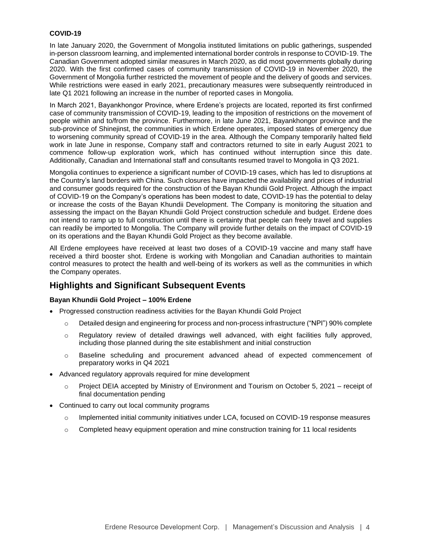## **COVID-19**

In late January 2020, the Government of Mongolia instituted limitations on public gatherings, suspended in-person classroom learning, and implemented international border controls in response to COVID-19. The Canadian Government adopted similar measures in March 2020, as did most governments globally during 2020. With the first confirmed cases of community transmission of COVID-19 in November 2020, the Government of Mongolia further restricted the movement of people and the delivery of goods and services. While restrictions were eased in early 2021, precautionary measures were subsequently reintroduced in late Q1 2021 following an increase in the number of reported cases in Mongolia.

In March 2021, Bayankhongor Province, where Erdene's projects are located, reported its first confirmed case of community transmission of COVID-19, leading to the imposition of restrictions on the movement of people within and to/from the province. Furthermore, in late June 2021, Bayankhongor province and the sub-province of Shinejinst, the communities in which Erdene operates, imposed states of emergency due to worsening community spread of COVID-19 in the area. Although the Company temporarily halted field work in late June in response, Company staff and contractors returned to site in early August 2021 to commence follow-up exploration work, which has continued without interruption since this date. Additionally, Canadian and International staff and consultants resumed travel to Mongolia in Q3 2021.

Mongolia continues to experience a significant number of COVID-19 cases, which has led to disruptions at the Country's land borders with China. Such closures have impacted the availability and prices of industrial and consumer goods required for the construction of the Bayan Khundii Gold Project. Although the impact of COVID-19 on the Company's operations has been modest to date, COVID-19 has the potential to delay or increase the costs of the Bayan Khundii Development. The Company is monitoring the situation and assessing the impact on the Bayan Khundii Gold Project construction schedule and budget. Erdene does not intend to ramp up to full construction until there is certainty that people can freely travel and supplies can readily be imported to Mongolia. The Company will provide further details on the impact of COVID-19 on its operations and the Bayan Khundii Gold Project as they become available.

All Erdene employees have received at least two doses of a COVID-19 vaccine and many staff have received a third booster shot. Erdene is working with Mongolian and Canadian authorities to maintain control measures to protect the health and well-being of its workers as well as the communities in which the Company operates.

# **Highlights and Significant Subsequent Events**

# **Bayan Khundii Gold Project – 100% Erdene**

- Progressed construction readiness activities for the Bayan Khundii Gold Project
	- $\circ$  Detailed design and engineering for process and non-process infrastructure ("NPI") 90% complete
	- $\circ$  Regulatory review of detailed drawings well advanced, with eight facilities fully approved, including those planned during the site establishment and initial construction
	- o Baseline scheduling and procurement advanced ahead of expected commencement of preparatory works in Q4 2021
- Advanced regulatory approvals required for mine development
	- o Project DEIA accepted by Ministry of Environment and Tourism on October 5, 2021 receipt of final documentation pending
- Continued to carry out local community programs
	- o Implemented initial community initiatives under LCA, focused on COVID-19 response measures
	- $\circ$  Completed heavy equipment operation and mine construction training for 11 local residents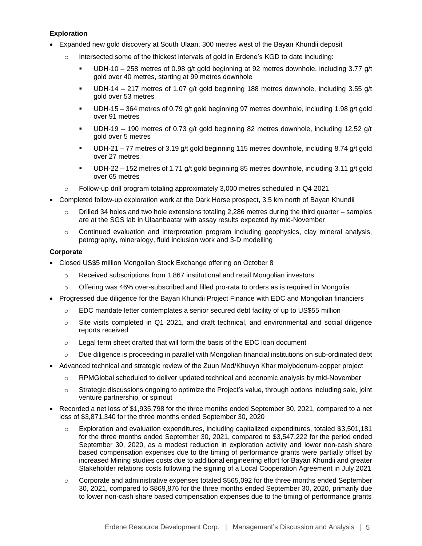# **Exploration**

- Expanded new gold discovery at South Ulaan, 300 metres west of the Bayan Khundii deposit
	- o Intersected some of the thickest intervals of gold in Erdene's KGD to date including:
		- UDH-10 258 metres of 0.98 g/t gold beginning at 92 metres downhole, including 3.77 g/t gold over 40 metres, starting at 99 metres downhole
		- **•** UDH-14 217 metres of 1.07 g/t gold beginning 188 metres downhole, including 3.55 g/t gold over 53 metres
		- UDH-15 364 metres of 0.79 g/t gold beginning 97 metres downhole, including 1.98 g/t gold over 91 metres
		- UDH-19 190 metres of 0.73 g/t gold beginning 82 metres downhole, including 12.52 g/t gold over 5 metres
		- UDH-21 77 metres of 3.19 g/t gold beginning 115 metres downhole, including 8.74 g/t gold over 27 metres
		- UDH-22 152 metres of 1.71 g/t gold beginning 85 metres downhole, including 3.11 g/t gold over 65 metres
	- Follow-up drill program totaling approximately 3,000 metres scheduled in Q4 2021
- Completed follow-up exploration work at the Dark Horse prospect, 3.5 km north of Bayan Khundii
	- $\circ$  Drilled 34 holes and two hole extensions totaling 2,286 metres during the third quarter samples are at the SGS lab in Ulaanbaatar with assay results expected by mid-November
	- $\circ$  Continued evaluation and interpretation program including geophysics, clay mineral analysis, petrography, mineralogy, fluid inclusion work and 3-D modelling

# **Corporate**

- Closed US\$5 million Mongolian Stock Exchange offering on October 8
	- o Received subscriptions from 1,867 institutional and retail Mongolian investors
	- $\circ$  Offering was 46% over-subscribed and filled pro-rata to orders as is required in Mongolia
- Progressed due diligence for the Bayan Khundii Project Finance with EDC and Mongolian financiers
	- o EDC mandate letter contemplates a senior secured debt facility of up to US\$55 million
	- o Site visits completed in Q1 2021, and draft technical, and environmental and social diligence reports received
	- o Legal term sheet drafted that will form the basis of the EDC loan document
	- $\circ$  Due diligence is proceeding in parallel with Mongolian financial institutions on sub-ordinated debt
- Advanced technical and strategic review of the Zuun Mod/Khuvyn Khar molybdenum-copper project
	- o RPMGlobal scheduled to deliver updated technical and economic analysis by mid-November
	- $\circ$  Strategic discussions ongoing to optimize the Project's value, through options including sale, joint venture partnership, or spinout
- Recorded a net loss of \$1,935,798 for the three months ended September 30, 2021, compared to a net loss of \$3,871,340 for the three months ended September 30, 2020
	- o Exploration and evaluation expenditures, including capitalized expenditures, totaled \$3,501,181 for the three months ended September 30, 2021, compared to \$3,547,222 for the period ended September 30, 2020, as a modest reduction in exploration activity and lower non-cash share based compensation expenses due to the timing of performance grants were partially offset by increased Mining studies costs due to additional engineering effort for Bayan Khundii and greater Stakeholder relations costs following the signing of a Local Cooperation Agreement in July 2021
	- $\circ$  Corporate and administrative expenses totaled \$565,092 for the three months ended September 30, 2021, compared to \$869,876 for the three months ended September 30, 2020, primarily due to lower non-cash share based compensation expenses due to the timing of performance grants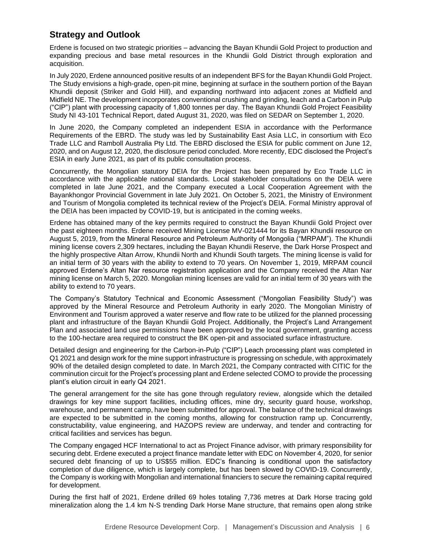# **Strategy and Outlook**

Erdene is focused on two strategic priorities – advancing the Bayan Khundii Gold Project to production and expanding precious and base metal resources in the Khundii Gold District through exploration and acquisition.

In July 2020, Erdene announced positive results of an independent BFS for the Bayan Khundii Gold Project. The Study envisions a high-grade, open-pit mine, beginning at surface in the southern portion of the Bayan Khundii deposit (Striker and Gold Hill), and expanding northward into adjacent zones at Midfield and Midfield NE. The development incorporates conventional crushing and grinding, leach and a Carbon in Pulp ("CIP") plant with processing capacity of 1,800 tonnes per day. The Bayan Khundii Gold Project Feasibility Study NI 43-101 Technical Report, dated August 31, 2020, was filed on SEDAR on September 1, 2020.

In June 2020, the Company completed an independent ESIA in accordance with the Performance Requirements of the EBRD. The study was led by Sustainability East Asia LLC, in consortium with Eco Trade LLC and Ramboll Australia Pty Ltd. The EBRD disclosed the ESIA for public comment on June 12, 2020, and on August 12, 2020, the disclosure period concluded. More recently, EDC disclosed the Project's ESIA in early June 2021, as part of its public consultation process.

Concurrently, the Mongolian statutory DEIA for the Project has been prepared by Eco Trade LLC in accordance with the applicable national standards. Local stakeholder consultations on the DEIA were completed in late June 2021, and the Company executed a Local Cooperation Agreement with the Bayankhongor Provincial Government in late July 2021. On October 5, 2021, the Ministry of Environment and Tourism of Mongolia completed its technical review of the Project's DEIA. Formal Ministry approval of the DEIA has been impacted by COVID-19, but is anticipated in the coming weeks.

Erdene has obtained many of the key permits required to construct the Bayan Khundii Gold Project over the past eighteen months. Erdene received Mining License MV-021444 for its Bayan Khundii resource on August 5, 2019, from the Mineral Resource and Petroleum Authority of Mongolia ("MRPAM"). The Khundii mining license covers 2,309 hectares, including the Bayan Khundii Reserve, the Dark Horse Prospect and the highly prospective Altan Arrow, Khundii North and Khundii South targets. The mining license is valid for an initial term of 30 years with the ability to extend to 70 years. On November 1, 2019, MRPAM council approved Erdene's Altan Nar resource registration application and the Company received the Altan Nar mining license on March 5, 2020. Mongolian mining licenses are valid for an initial term of 30 years with the ability to extend to 70 years.

The Company's Statutory Technical and Economic Assessment ("Mongolian Feasibility Study") was approved by the Mineral Resource and Petroleum Authority in early 2020. The Mongolian Ministry of Environment and Tourism approved a water reserve and flow rate to be utilized for the planned processing plant and infrastructure of the Bayan Khundii Gold Project. Additionally, the Project's Land Arrangement Plan and associated land use permissions have been approved by the local government, granting access to the 100-hectare area required to construct the BK open-pit and associated surface infrastructure.

Detailed design and engineering for the Carbon-in-Pulp ("CIP") Leach processing plant was completed in Q1 2021 and design work for the mine support infrastructure is progressing on schedule, with approximately 90% of the detailed design completed to date. In March 2021, the Company contracted with CITIC for the comminution circuit for the Project's processing plant and Erdene selected COMO to provide the processing plant's elution circuit in early Q4 2021.

The general arrangement for the site has gone through regulatory review, alongside which the detailed drawings for key mine support facilities, including offices, mine dry, security guard house, workshop, warehouse, and permanent camp, have been submitted for approval. The balance of the technical drawings are expected to be submitted in the coming months, allowing for construction ramp up. Concurrently, constructability, value engineering, and HAZOPS review are underway, and tender and contracting for critical facilities and services has begun.

The Company engaged HCF International to act as Project Finance advisor, with primary responsibility for securing debt. Erdene executed a project finance mandate letter with EDC on November 4, 2020, for senior secured debt financing of up to US\$55 million. EDC's financing is conditional upon the satisfactory completion of due diligence, which is largely complete, but has been slowed by COVID-19. Concurrently, the Company is working with Mongolian and international financiers to secure the remaining capital required for development.

During the first half of 2021, Erdene drilled 69 holes totaling 7,736 metres at Dark Horse tracing gold mineralization along the 1.4 km N-S trending Dark Horse Mane structure, that remains open along strike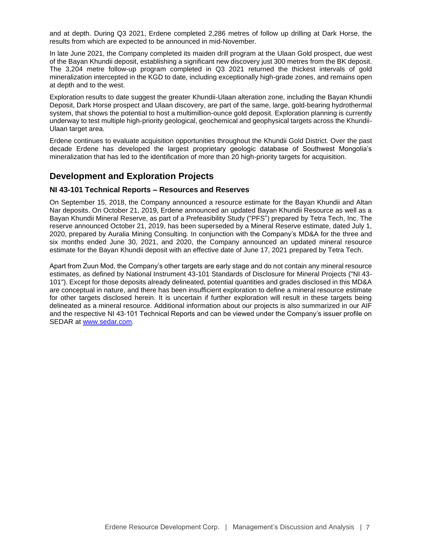and at depth. During Q3 2021, Erdene completed 2,286 metres of follow up drilling at Dark Horse, the results from which are expected to be announced in mid-November.

In late June 2021, the Company completed its maiden drill program at the Ulaan Gold prospect, due west of the Bayan Khundii deposit, establishing a significant new discovery just 300 metres from the BK deposit. The 3,204 metre follow-up program completed in Q3 2021 returned the thickest intervals of gold mineralization intercepted in the KGD to date, including exceptionally high-grade zones, and remains open at depth and to the west.

Exploration results to date suggest the greater Khundii-Ulaan alteration zone, including the Bayan Khundii Deposit, Dark Horse prospect and Ulaan discovery, are part of the same, large, gold-bearing hydrothermal system, that shows the potential to host a multimillion-ounce gold deposit. Exploration planning is currently underway to test multiple high-priority geological, geochemical and geophysical targets across the Khundii-Ulaan target area.

Erdene continues to evaluate acquisition opportunities throughout the Khundii Gold District. Over the past decade Erdene has developed the largest proprietary geologic database of Southwest Mongolia's mineralization that has led to the identification of more than 20 high-priority targets for acquisition.

# **Development and Exploration Projects**

# **NI 43-101 Technical Reports – Resources and Reserves**

On September 15, 2018, the Company announced a resource estimate for the Bayan Khundii and Altan Nar deposits. On October 21, 2019, Erdene announced an updated Bayan Khundii Resource as well as a Bayan Khundii Mineral Reserve, as part of a Prefeasibility Study ("PFS") prepared by Tetra Tech, Inc. The reserve announced October 21, 2019, has been superseded by a Mineral Reserve estimate, dated July 1, 2020, prepared by Auralia Mining Consulting. In conjunction with the Company's MD&A for the three and six months ended June 30, 2021, and 2020, the Company announced an updated mineral resource estimate for the Bayan Khundii deposit with an effective date of June 17, 2021 prepared by Tetra Tech.

Apart from Zuun Mod, the Company's other targets are early stage and do not contain any mineral resource estimates, as defined by National Instrument 43-101 Standards of Disclosure for Mineral Projects ("NI 43- 101"). Except for those deposits already delineated, potential quantities and grades disclosed in this MD&A are conceptual in nature, and there has been insufficient exploration to define a mineral resource estimate for other targets disclosed herein. It is uncertain if further exploration will result in these targets being delineated as a mineral resource. Additional information about our projects is also summarized in our AIF and the respective NI 43-101 Technical Reports and can be viewed under the Company's issuer profile on SEDAR at [www.sedar.com.](http://www.sedar.com/)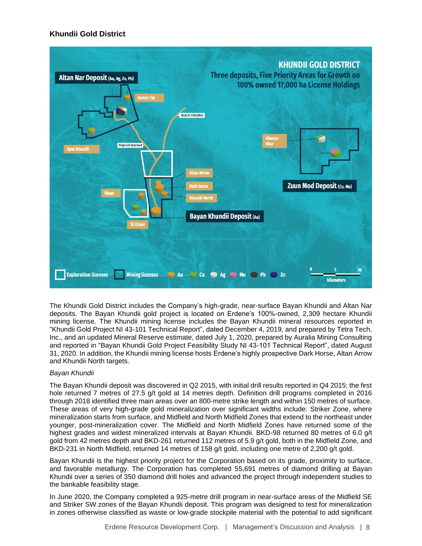# **Khundii Gold District**



The Khundii Gold District includes the Company's high-grade, near-surface Bayan Khundii and Altan Nar deposits. The Bayan Khundii gold project is located on Erdene's 100%-owned, 2,309 hectare Khundii mining license. The Khundii mining license includes the Bayan Khundii mineral resources reported in "Khundii Gold Project NI 43-101 Technical Report", dated December 4, 2019, and prepared by Tetra Tech, Inc., and an updated Mineral Reserve estimate, dated July 1, 2020, prepared by Auralia Mining Consulting and reported in "Bayan Khundii Gold Project Feasibility Study NI 43-101 Technical Report", dated August 31, 2020. In addition, the Khundii mining license hosts Erdene's highly prospective Dark Horse, Altan Arrow and Khundii North targets.

# *Bayan Khundii*

The Bayan Khundii deposit was discovered in Q2 2015, with initial drill results reported in Q4 2015; the first hole returned 7 metres of 27.5 g/t gold at 14 metres depth. Definition drill programs completed in 2016 through 2018 identified three main areas over an 800-metre strike length and within 150 metres of surface. These areas of very high-grade gold mineralization over significant widths include: Striker Zone, where mineralization starts from surface, and Midfield and North Midfield Zones that extend to the northeast under younger, post-mineralization cover. The Midfield and North Midfield Zones have returned some of the highest grades and widest mineralized intervals at Bayan Khundii. BKD-98 returned 80 metres of 6.0 g/t gold from 42 metres depth and BKD-261 returned 112 metres of 5.9 g/t gold, both in the Midfield Zone, and BKD-231 in North Midfield, returned 14 metres of 158 g/t gold, including one metre of 2,200 g/t gold.

Bayan Khundii is the highest priority project for the Corporation based on its grade, proximity to surface, and favorable metallurgy. The Corporation has completed 55,691 metres of diamond drilling at Bayan Khundii over a series of 350 diamond drill holes and advanced the project through independent studies to the bankable feasibility stage.

In June 2020, the Company completed a 925-metre drill program in near-surface areas of the Midfield SE and Striker SW zones of the Bayan Khundii deposit. This program was designed to test for mineralization in zones otherwise classified as waste or low-grade stockpile material with the potential to add significant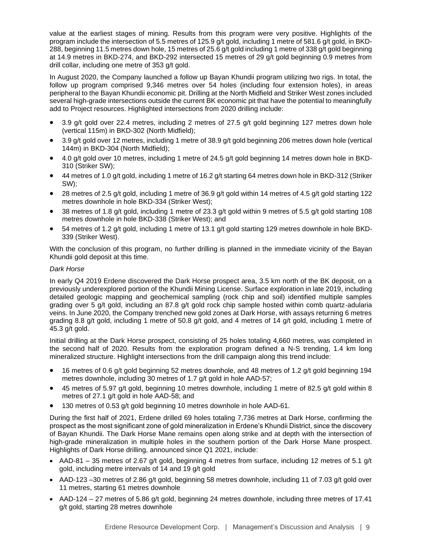value at the earliest stages of mining. Results from this program were very positive. Highlights of the program include the intersection of 5.5 metres of 125.9 g/t gold, including 1 metre of 581.6 g/t gold, in BKD-288, beginning 11.5 metres down hole, 15 metres of 25.6 g/t gold including 1 metre of 338 g/t gold beginning at 14.9 metres in BKD-274, and BKD-292 intersected 15 metres of 29 g/t gold beginning 0.9 metres from drill collar, including one metre of 353 g/t gold.

In August 2020, the Company launched a follow up Bayan Khundii program utilizing two rigs. In total, the follow up program comprised 9,346 metres over 54 holes (including four extension holes), in areas peripheral to the Bayan Khundii economic pit. Drilling at the North Midfield and Striker West zones included several high-grade intersections outside the current BK economic pit that have the potential to meaningfully add to Project resources. Highlighted intersections from 2020 drilling include:

- 3.9 g/t gold over 22.4 metres, including 2 metres of 27.5 g/t gold beginning 127 metres down hole (vertical 115m) in BKD-302 (North Midfield);
- 3.9 g/t gold over 12 metres, including 1 metre of 38.9 g/t gold beginning 206 metres down hole (vertical 144m) in BKD-304 (North Midfield);
- 4.0 g/t gold over 10 metres, including 1 metre of 24.5 g/t gold beginning 14 metres down hole in BKD-310 (Striker SW);
- 44 metres of 1.0 g/t gold, including 1 metre of 16.2 g/t starting 64 metres down hole in BKD-312 (Striker SW);
- 28 metres of 2.5 g/t gold, including 1 metre of 36.9 g/t gold within 14 metres of 4.5 g/t gold starting 122 metres downhole in hole BKD-334 (Striker West);
- 38 metres of 1.8 g/t gold, including 1 metre of 23.3 g/t gold within 9 metres of 5.5 g/t gold starting 108 metres downhole in hole BKD-338 (Striker West); and
- 54 metres of 1.2 g/t gold, including 1 metre of 13.1 g/t gold starting 129 metres downhole in hole BKD-339 (Striker West).

With the conclusion of this program, no further drilling is planned in the immediate vicinity of the Bayan Khundii gold deposit at this time.

# *Dark Horse*

In early Q4 2019 Erdene discovered the Dark Horse prospect area, 3.5 km north of the BK deposit, on a previously underexplored portion of the Khundii Mining License. Surface exploration in late 2019, including detailed geologic mapping and geochemical sampling (rock chip and soil) identified multiple samples grading over 5 g/t gold, including an 87.8 g/t gold rock chip sample hosted within comb quartz-adularia veins. In June 2020, the Company trenched new gold zones at Dark Horse, with assays returning 6 metres grading 8.8 g/t gold, including 1 metre of 50.8 g/t gold, and 4 metres of 14 g/t gold, including 1 metre of 45.3 g/t gold.

Initial drilling at the Dark Horse prospect, consisting of 25 holes totaling 4,660 metres, was completed in the second half of 2020. Results from the exploration program defined a N-S trending, 1.4 km long mineralized structure. Highlight intersections from the drill campaign along this trend include:

- 16 metres of 0.6 g/t gold beginning 52 metres downhole, and 48 metres of 1.2 g/t gold beginning 194 metres downhole, including 30 metres of 1.7 g/t gold in hole AAD-57;
- 45 metres of 5.97 g/t gold, beginning 10 metres downhole, including 1 metre of 82.5 g/t gold within 8 metres of 27.1 g/t gold in hole AAD-58; and
- 130 metres of 0.53 g/t gold beginning 10 metres downhole in hole AAD-61.

During the first half of 2021, Erdene drilled 69 holes totaling 7,736 metres at Dark Horse, confirming the prospect as the most significant zone of gold mineralization in Erdene's Khundii District, since the discovery of Bayan Khundii. The Dark Horse Mane remains open along strike and at depth with the intersection of high-grade mineralization in multiple holes in the southern portion of the Dark Horse Mane prospect. Highlights of Dark Horse drilling, announced since Q1 2021, include:

- AAD-81 35 metres of 2.67 g/t gold, beginning 4 metres from surface, including 12 metres of 5.1 g/t gold, including metre intervals of 14 and 19 g/t gold
- AAD-123 –30 metres of 2.86 g/t gold, beginning 58 metres downhole, including 11 of 7.03 g/t gold over 11 metres, starting 61 metres downhole
- AAD-124 27 metres of 5.86 g/t gold, beginning 24 metres downhole, including three metres of 17.41 g/t gold, starting 28 metres downhole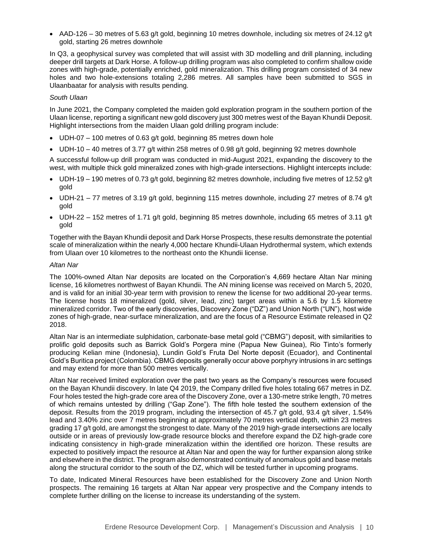• AAD-126 – 30 metres of 5.63 g/t gold, beginning 10 metres downhole, including six metres of 24.12 g/t gold, starting 26 metres downhole

In Q3, a geophysical survey was completed that will assist with 3D modelling and drill planning, including deeper drill targets at Dark Horse. A follow-up drilling program was also completed to confirm shallow oxide zones with high-grade, potentially enriched, gold mineralization. This drilling program consisted of 34 new holes and two hole-extensions totaling 2,286 metres. All samples have been submitted to SGS in Ulaanbaatar for analysis with results pending.

#### *South Ulaan*

In June 2021, the Company completed the maiden gold exploration program in the southern portion of the Ulaan license, reporting a significant new gold discovery just 300 metres west of the Bayan Khundii Deposit. Highlight intersections from the maiden Ulaan gold drilling program include:

- UDH-07 100 metres of 0.63 g/t gold, beginning 85 metres down hole
- UDH-10 40 metres of 3.77 g/t within 258 metres of 0.98 g/t gold, beginning 92 metres downhole

A successful follow-up drill program was conducted in mid-August 2021, expanding the discovery to the west, with multiple thick gold mineralized zones with high-grade intersections. Highlight intercepts include:

- UDH-19 190 metres of 0.73 g/t gold, beginning 82 metres downhole, including five metres of 12.52 g/t gold
- UDH-21 77 metres of 3.19 g/t gold, beginning 115 metres downhole, including 27 metres of 8.74 g/t gold
- UDH-22 152 metres of 1.71 g/t gold, beginning 85 metres downhole, including 65 metres of 3.11 g/t gold

Together with the Bayan Khundii deposit and Dark Horse Prospects, these results demonstrate the potential scale of mineralization within the nearly 4,000 hectare Khundii-Ulaan Hydrothermal system, which extends from Ulaan over 10 kilometres to the northeast onto the Khundii license.

## *Altan Nar*

The 100%-owned Altan Nar deposits are located on the Corporation's 4,669 hectare Altan Nar mining license, 16 kilometres northwest of Bayan Khundii. The AN mining license was received on March 5, 2020, and is valid for an initial 30-year term with provision to renew the license for two additional 20-year terms. The license hosts 18 mineralized (gold, silver, lead, zinc) target areas within a 5.6 by 1.5 kilometre mineralized corridor. Two of the early discoveries, Discovery Zone ("DZ") and Union North ("UN"), host wide zones of high-grade, near-surface mineralization, and are the focus of a Resource Estimate released in Q2 2018.

Altan Nar is an intermediate sulphidation, carbonate-base metal gold ("CBMG") deposit, with similarities to prolific gold deposits such as Barrick Gold's Porgera mine (Papua New Guinea), Rio Tinto's formerly producing Kelian mine (Indonesia), Lundin Gold's Fruta Del Norte deposit (Ecuador), and Continental Gold's Buritica project (Colombia). CBMG deposits generally occur above porphyry intrusions in arc settings and may extend for more than 500 metres vertically.

Altan Nar received limited exploration over the past two years as the Company's resources were focused on the Bayan Khundii discovery. In late Q4 2019, the Company drilled five holes totaling 667 metres in DZ. Four holes tested the high-grade core area of the Discovery Zone, over a 130-metre strike length, 70 metres of which remains untested by drilling ("Gap Zone"). The fifth hole tested the southern extension of the deposit. Results from the 2019 program, including the intersection of 45.7 g/t gold, 93.4 g/t silver, 1.54% lead and 3.40% zinc over 7 metres beginning at approximately 70 metres vertical depth, within 23 metres grading 17 g/t gold, are amongst the strongest to date. Many of the 2019 high-grade intersections are locally outside or in areas of previously low-grade resource blocks and therefore expand the DZ high-grade core indicating consistency in high-grade mineralization within the identified ore horizon. These results are expected to positively impact the resource at Altan Nar and open the way for further expansion along strike and elsewhere in the district. The program also demonstrated continuity of anomalous gold and base metals along the structural corridor to the south of the DZ, which will be tested further in upcoming programs.

To date, Indicated Mineral Resources have been established for the Discovery Zone and Union North prospects. The remaining 16 targets at Altan Nar appear very prospective and the Company intends to complete further drilling on the license to increase its understanding of the system.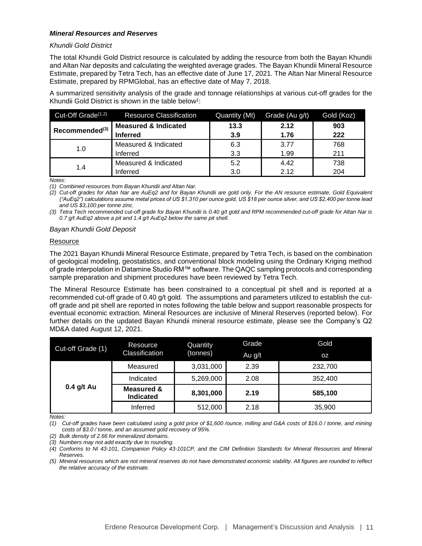### *Mineral Resources and Reserves*

#### *Khundii Gold District*

The total Khundii Gold District resource is calculated by adding the resource from both the Bayan Khundii and Altan Nar deposits and calculating the weighted average grades. The Bayan Khundii Mineral Resource Estimate, prepared by Tetra Tech, has an effective date of June 17, 2021. The Altan Nar Mineral Resource Estimate, prepared by RPMGlobal, has an effective date of May 7, 2018.

A summarized sensitivity analysis of the grade and tonnage relationships at various cut-off grades for the Khundii Gold District is shown in the table below<sup>1</sup>:

| Cut-Off Grade <sup>(1,2)</sup> | <b>Resource Classification</b>  | Quantity (Mt) | Grade (Au g/t) | Gold (Koz) |
|--------------------------------|---------------------------------|---------------|----------------|------------|
| Recommended <sup>(3)</sup>     | <b>Measured &amp; Indicated</b> | 13.3          | 2.12           | 903        |
|                                | <b>Inferred</b>                 | 3.9           | 1.76           | 222        |
|                                | Measured & Indicated            | 6.3           | 3.77           | 768        |
| 1.0                            | Inferred                        | 3.3           | 1.99           | 211        |
|                                | Measured & Indicated            | 5.2           | 4.42           | 738        |
| 1.4                            | Inferred                        | 3.0           | 2.12           | 204        |

*Notes:*

*(1) Combined resources from Bayan Khundii and Altan Nar.*

*(2) Cut-off grades for Altan Nar are AuEq2 and for Bayan Khundii are gold only. For the AN resource estimate, Gold Equivalent ("AuEq2") calculations assume metal prices of US \$1,310 per ounce gold, US \$18 per ounce silver, and US \$2,400 per tonne lead and US \$3,100 per tonne zinc.*

*(3) Tetra Tech recommended cut-off grade for Bayan Khundii is 0.40 g/t gold and RPM recommended cut-off grade for Altan Nar is 0.7 g/t AuEq2 above a pit and 1.4 g/t AuEq2 below the same pit shell.* 

#### *Bayan Khundii Gold Deposit*

#### Resource

The 2021 Bayan Khundii Mineral Resource Estimate, prepared by Tetra Tech, is based on the combination of geological modeling, geostatistics, and conventional block modeling using the Ordinary Kriging method of grade interpolation in Datamine Studio RM™ software. The QAQC sampling protocols and corresponding sample preparation and shipment procedures have been reviewed by Tetra Tech.

The Mineral Resource Estimate has been constrained to a conceptual pit shell and is reported at a recommended cut-off grade of 0.40 g/t gold. The assumptions and parameters utilized to establish the cutoff grade and pit shell are reported in notes following the table below and support reasonable prospects for eventual economic extraction. Mineral Resources are inclusive of Mineral Reserves (reported below). For further details on the updated Bayan Khundii mineral resource estimate, please see the Company's Q2 MD&A dated August 12, 2021.

| Cut-off Grade (1) | Resource                                  | Quantity  | Grade  | Gold      |
|-------------------|-------------------------------------------|-----------|--------|-----------|
|                   | Classification                            | (tonnes)  | Au g/t | <b>OZ</b> |
|                   | Measured                                  | 3,031,000 | 2.39   | 232,700   |
| $0.4$ g/t Au      | Indicated                                 | 5,269,000 | 2.08   | 352,400   |
|                   | <b>Measured &amp;</b><br><b>Indicated</b> | 8,301,000 | 2.19   | 585,100   |
|                   | Inferred                                  | 512,000   | 2.18   | 35,900    |

*Notes:*

*(1) Cut-off grades have been calculated using a gold price of \$1,600 /ounce, milling and G&A costs of \$16.0 / tonne, and mining costs of \$3.0 / tonne, and an assumed gold recovery of 95%.*

*(2) Bulk density of 2.66 for mineralized domains.*

*(3) Numbers may not add exactly due to rounding.*

*<sup>(4)</sup> Conforms to NI 43-101, Companion Policy 43-101CP, and the CIM Definition Standards for Mineral Resources and Mineral Reserves.* 

*<sup>(5)</sup> Mineral resources which are not mineral reserves do not have demonstrated economic viability. All figures are rounded to reflect the relative accuracy of the estimate.*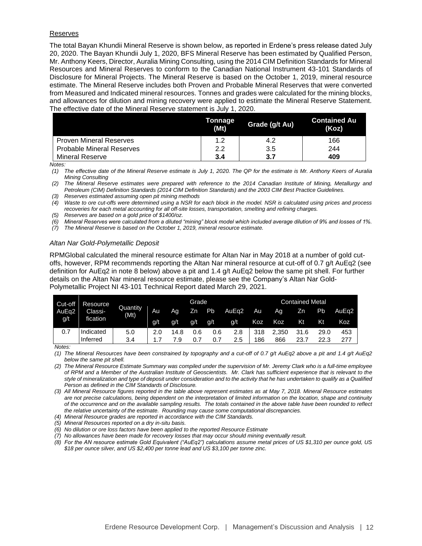#### **Reserves**

The total Bayan Khundii Mineral Reserve is shown below, as reported in Erdene's press release dated July 20, 2020. The Bayan Khundii July 1, 2020, BFS Mineral Reserve has been estimated by Qualified Person, Mr. Anthony Keers, Director, Auralia Mining Consulting, using the 2014 CIM Definition Standards for Mineral Resources and Mineral Reserves to conform to the Canadian National Instrument 43-101 Standards of Disclosure for Mineral Projects. The Mineral Reserve is based on the October 1, 2019, mineral resource estimate. The Mineral Reserve includes both Proven and Probable Mineral Reserves that were converted from Measured and Indicated mineral resources. Tonnes and grades were calculated for the mining blocks, and allowances for dilution and mining recovery were applied to estimate the Mineral Reserve Statement. The effective date of the Mineral Reserve statement is July 1, 2020.

|                                  | Tonnage<br>(Mt) | Grade (g/t Au) | <b>Contained Au</b><br>(Koz) |
|----------------------------------|-----------------|----------------|------------------------------|
| <b>Proven Mineral Reserves</b>   | 1.2             | 4.2            | 166                          |
| <b>Probable Mineral Reserves</b> | 2.2             | 3.5            | 244                          |
| <b>Mineral Reserve</b>           | 3.4             | 3.7            | 409                          |

*Notes:*

*(1) The effective date of the Mineral Reserve estimate is July 1, 2020. The QP for the estimate is Mr. Anthony Keers of Auralia Mining Consulting*

*(2) The Mineral Reserve estimates were prepared with reference to the 2014 Canadian Institute of Mining, Metallurgy and Petroleum (CIM) Definition Standards (2014 CIM Definition Standards) and the 2003 CIM Best Practice Guidelines.*

*(3) Reserves estimated assuming open pit mining methods*

*(4) Waste to ore cut-offs were determined using a NSR for each block in the model. NSR is calculated using prices and process recoveries for each metal accounting for all off-site losses, transportation, smelting and refining charges.* 

*(5) Reserves are based on a gold price of \$1400/oz.*

*(6) Mineral Reserves were calculated from a diluted "mining" block model which included average dilution of 9% and losses of 1%.*

*(7) The Mineral Reserve is based on the October 1, 2019, mineral resource estimate.*

## *Altan Nar Gold-Polymetallic Deposit*

RPMGlobal calculated the mineral resource estimate for Altan Nar in May 2018 at a number of gold cutoffs, however, RPM recommends reporting the Altan Nar mineral resource at cut-off of 0.7 g/t AuEq2 (see definition for AuEq2 in note 8 below) above a pit and 1.4 g/t AuEq2 below the same pit shell. For further details on the Altan Nar mineral resource estimate, please see the Company's Altan Nar Gold-Polymetallic Project NI 43-101 Technical Report dated March 29, 2021.

| Cut-off           | Resource  |                  |     |      | Grade |     |       |     |       | <b>Contained Metal</b> |      |       |
|-------------------|-----------|------------------|-----|------|-------|-----|-------|-----|-------|------------------------|------|-------|
| AuEg <sub>2</sub> | Classi-   | Quantity<br>(Mt) | Au  | Αg   | Zn.   | Pb  | AuEa2 | Au  | Ag    | Zn                     | Pb   | AuEg2 |
| q/t               | fication  |                  | g/t | g/t  | g/t   | g/t | q/t   | Koz | Koz   | Κt                     | Κt   | Koz   |
| 0.7               | Indicated | 5.0              | 2.0 | 14.8 | 0.6   | 0.6 | 2.8   | 318 | 2.350 | 31.6                   | 29.0 | 453   |
|                   | Inferred  | 3.4              |     |      |       | 0.7 | 2.5   | 186 | 866   | 23.7                   | 22.3 | 277   |

*Notes:*

*(1) The Mineral Resources have been constrained by topography and a cut-off of 0.7 g/t AuEq2 above a pit and 1.4 g/t AuEq2 below the same pit shell.*

*(2) The Mineral Resource Estimate Summary was compiled under the supervision of Mr. Jeremy Clark who is a full-time employee of RPM and a Member of the Australian Institute of Geoscientists. Mr. Clark has sufficient experience that is relevant to the style of mineralization and type of deposit under consideration and to the activity that he has undertaken to qualify as a Qualified Person as defined in the CIM Standards of Disclosure.*

*(3) All Mineral Resource figures reported in the table above represent estimates as at May 7, 2018. Mineral Resource estimates are not precise calculations, being dependent on the interpretation of limited information on the location, shape and continuity of the occurrence and on the available sampling results. The totals contained in the above table have been rounded to reflect the relative uncertainty of the estimate. Rounding may cause some computational discrepancies.*

*(4) Mineral Resource grades are reported in accordance with the CIM Standards.*

*(5) Mineral Resources reported on a dry in-situ basis.*

*(6) No dilution or ore loss factors have been applied to the reported Resource Estimate*

*(7) No allowances have been made for recovery losses that may occur should mining eventually result.*

*(8) For the AN resource estimate Gold Equivalent ("AuEq2") calculations assume metal prices of US \$1,310 per ounce gold, US \$18 per ounce silver, and US \$2,400 per tonne lead and US \$3,100 per tonne zinc.*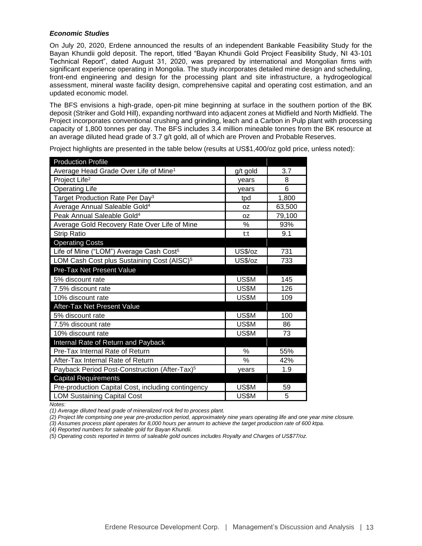## *Economic Studies*

On July 20, 2020, Erdene announced the results of an independent Bankable Feasibility Study for the Bayan Khundii gold deposit. The report, titled "Bayan Khundii Gold Project Feasibility Study, NI 43-101 Technical Report", dated August 31, 2020, was prepared by international and Mongolian firms with significant experience operating in Mongolia. The study incorporates detailed mine design and scheduling, front-end engineering and design for the processing plant and site infrastructure, a hydrogeological assessment, mineral waste facility design, comprehensive capital and operating cost estimation, and an updated economic model.

The BFS envisions a high-grade, open-pit mine beginning at surface in the southern portion of the BK deposit (Striker and Gold Hill), expanding northward into adjacent zones at Midfield and North Midfield. The Project incorporates conventional crushing and grinding, leach and a Carbon in Pulp plant with processing capacity of 1,800 tonnes per day. The BFS includes 3.4 million mineable tonnes from the BK resource at an average diluted head grade of 3.7 g/t gold, all of which are Proven and Probable Reserves.

| <b>Production Profile</b>                                 |               |        |
|-----------------------------------------------------------|---------------|--------|
| Average Head Grade Over Life of Mine <sup>1</sup>         | g/t gold      | 3.7    |
| Project Life <sup>2</sup>                                 | years         | 8      |
| <b>Operating Life</b>                                     | years         | 6      |
| Target Production Rate Per Day <sup>3</sup>               | tpd           | 1,800  |
| Average Annual Saleable Gold <sup>4</sup>                 | 0Z            | 63,500 |
| Peak Annual Saleable Gold <sup>4</sup>                    | 0Z            | 79,100 |
| Average Gold Recovery Rate Over Life of Mine              | %             | 93%    |
| <b>Strip Ratio</b>                                        | $t$ :t        | 9.1    |
| <b>Operating Costs</b>                                    |               |        |
| Life of Mine ("LOM") Average Cash Cost <sup>5</sup>       | US\$/oz       | 731    |
| LOM Cash Cost plus Sustaining Cost (AISC) <sup>5</sup>    | US\$/oz       | 733    |
| Pre-Tax Net Present Value                                 |               |        |
| 5% discount rate                                          | US\$M         | 145    |
| 7.5% discount rate                                        | US\$M         | 126    |
| 10% discount rate                                         | US\$M         | 109    |
| After-Tax Net Present Value                               |               |        |
| 5% discount rate                                          | US\$M         | 100    |
| 7.5% discount rate                                        | US\$M         | 86     |
| 10% discount rate                                         | US\$M         | 73     |
| Internal Rate of Return and Payback                       |               |        |
| Pre-Tax Internal Rate of Return                           | $\%$          | 55%    |
| After-Tax Internal Rate of Return                         | $\frac{0}{0}$ | 42%    |
| Payback Period Post-Construction (After-Tax) <sup>5</sup> | years         | 1.9    |
| <b>Capital Requirements</b>                               |               |        |
| Pre-production Capital Cost, including contingency        | US\$M         | 59     |
| <b>LOM Sustaining Capital Cost</b>                        | US\$M         | 5      |

Project highlights are presented in the table below (results at US\$1,400/oz gold price, unless noted):

*Notes:*

*(1) Average diluted head grade of mineralized rock fed to process plant.*

*(2) Project life comprising one year pre-production period, approximately nine years operating life and one year mine closure.*

*(3) Assumes process plant operates for 8,000 hours per annum to achieve the target production rate of 600 ktpa.*

*(4) Reported numbers for saleable gold for Bayan Khundii.*

*(5) Operating costs reported in terms of saleable gold ounces includes Royalty and Charges of US\$77/oz.*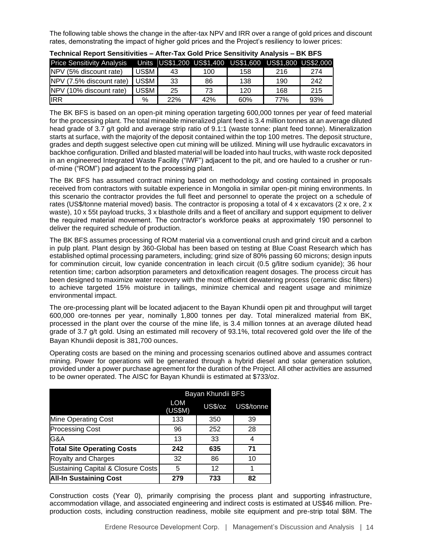The following table shows the change in the after-tax NPV and IRR over a range of gold prices and discount rates, demonstrating the impact of higher gold prices and the Project's resiliency to lower prices:

|                                   |       |     |     | 1.11                                                    |     |     |
|-----------------------------------|-------|-----|-----|---------------------------------------------------------|-----|-----|
| <b>Price Sensitivity Analysis</b> |       |     |     | Units US\$1,200 US\$1,400 US\$1,600 US\$1,800 US\$2,000 |     |     |
| NPV (5% discount rate)            | US\$M | 43  | 100 | 158                                                     | 216 | 274 |
| NPV (7.5% discount rate)          | US\$M | 33  | 86  | 138                                                     | 190 | 242 |
| NPV (10% discount rate)           | US\$M | 25  | 73  | 120                                                     | 168 | 215 |
| lirr                              | $\%$  | 22% | 42% | 60%                                                     | 77% | 93% |

The BK BFS is based on an open-pit mining operation targeting 600,000 tonnes per year of feed material for the processing plant. The total mineable mineralized plant feed is 3.4 million tonnes at an average diluted head grade of 3.7 g/t gold and average strip ratio of 9.1:1 (waste tonne: plant feed tonne). Mineralization starts at surface, with the majority of the deposit contained within the top 100 metres. The deposit structure, grades and depth suggest selective open cut mining will be utilized. Mining will use hydraulic excavators in backhoe configuration. Drilled and blasted material will be loaded into haul trucks, with waste rock deposited in an engineered Integrated Waste Facility ("IWF") adjacent to the pit, and ore hauled to a crusher or runof-mine ("ROM") pad adjacent to the processing plant.

The BK BFS has assumed contract mining based on methodology and costing contained in proposals received from contractors with suitable experience in Mongolia in similar open-pit mining environments. In this scenario the contractor provides the full fleet and personnel to operate the project on a schedule of rates (US\$/tonne material moved) basis. The contractor is proposing a total of 4 x excavators (2 x ore, 2 x waste), 10 x 55t payload trucks, 3 x blasthole drills and a fleet of ancillary and support equipment to deliver the required material movement. The contractor's workforce peaks at approximately 190 personnel to deliver the required schedule of production.

The BK BFS assumes processing of ROM material via a conventional crush and grind circuit and a carbon in pulp plant. Plant design by 360-Global has been based on testing at Blue Coast Research which has established optimal processing parameters, including; grind size of 80% passing 60 microns; design inputs for comminution circuit, low cyanide concentration in leach circuit (0.5 g/litre sodium cyanide); 36 hour retention time; carbon adsorption parameters and detoxification reagent dosages. The process circuit has been designed to maximize water recovery with the most efficient dewatering process (ceramic disc filters) to achieve targeted 15% moisture in tailings, minimize chemical and reagent usage and minimize environmental impact.

The ore-processing plant will be located adjacent to the Bayan Khundii open pit and throughput will target 600,000 ore-tonnes per year, nominally 1,800 tonnes per day. Total mineralized material from BK, processed in the plant over the course of the mine life, is 3.4 million tonnes at an average diluted head grade of 3.7 g/t gold. Using an estimated mill recovery of 93.1%, total recovered gold over the life of the Bayan Khundii deposit is 381,700 ounces.

Operating costs are based on the mining and processing scenarios outlined above and assumes contract mining. Power for operations will be generated through a hybrid diesel and solar generation solution, provided under a power purchase agreement for the duration of the Project. All other activities are assumed to be owner operated. The AISC for Bayan Khundii is estimated at \$733/oz.

|                                    | Bayan Khundii BFS |         |            |  |  |  |  |  |  |
|------------------------------------|-------------------|---------|------------|--|--|--|--|--|--|
|                                    | LOM<br>(US\$M)    | US\$/oz | US\$/tonne |  |  |  |  |  |  |
| <b>Mine Operating Cost</b>         | 133               | 350     | 39         |  |  |  |  |  |  |
| <b>Processing Cost</b>             | 96                | 252     | 28         |  |  |  |  |  |  |
| G&A                                | 13                | 33      |            |  |  |  |  |  |  |
| <b>Total Site Operating Costs</b>  | 242               | 635     | 71         |  |  |  |  |  |  |
| Royalty and Charges                | 32                | 86      | 10         |  |  |  |  |  |  |
| Sustaining Capital & Closure Costs | 5                 | 12      |            |  |  |  |  |  |  |
| <b>All-In Sustaining Cost</b>      | 279               | 733     | 82         |  |  |  |  |  |  |

Construction costs (Year 0), primarily comprising the process plant and supporting infrastructure, accommodation village, and associated engineering and indirect costs is estimated at US\$46 million. Preproduction costs, including construction readiness, mobile site equipment and pre-strip total \$8M. The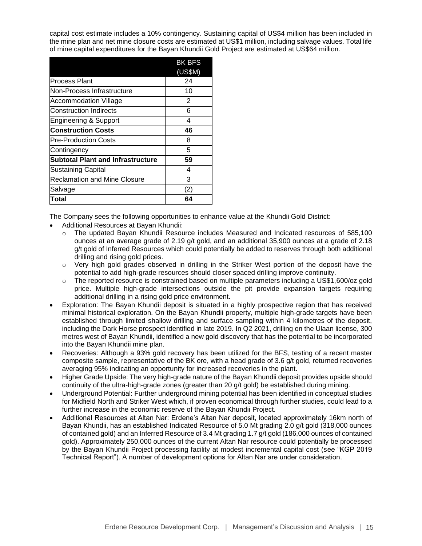capital cost estimate includes a 10% contingency. Sustaining capital of US\$4 million has been included in the mine plan and net mine closure costs are estimated at US\$1 million, including salvage values. Total life of mine capital expenditures for the Bayan Khundii Gold Project are estimated at US\$64 million.

|                                     | <b>BK BFS</b> |
|-------------------------------------|---------------|
|                                     | (US\$M)       |
| Process Plant                       | 24            |
| Non-Process Infrastructure          | 10            |
| <b>Accommodation Village</b>        | 2             |
| <b>Construction Indirects</b>       | 6             |
| Engineering & Support               | 4             |
| <b>Construction Costs</b>           | 46            |
| <b>Pre-Production Costs</b>         | 8             |
| Contingency                         | 5             |
| Subtotal Plant and Infrastructure   | 59            |
| <b>Sustaining Capital</b>           | 4             |
| <b>Reclamation and Mine Closure</b> | 3             |
| Salvage                             | (2)           |
| Total                               | 64            |

The Company sees the following opportunities to enhance value at the Khundii Gold District:

- Additional Resources at Bayan Khundii:
	- o The updated Bayan Khundii Resource includes Measured and Indicated resources of 585,100 ounces at an average grade of 2.19 g/t gold, and an additional 35,900 ounces at a grade of 2.18 g/t gold of Inferred Resources which could potentially be added to reserves through both additional drilling and rising gold prices.
	- o Very high gold grades observed in drilling in the Striker West portion of the deposit have the potential to add high-grade resources should closer spaced drilling improve continuity.
	- $\circ$  The reported resource is constrained based on multiple parameters including a US\$1,600/oz gold price. Multiple high-grade intersections outside the pit provide expansion targets requiring additional drilling in a rising gold price environment.
- Exploration: The Bayan Khundii deposit is situated in a highly prospective region that has received minimal historical exploration. On the Bayan Khundii property, multiple high-grade targets have been established through limited shallow drilling and surface sampling within 4 kilometres of the deposit, including the Dark Horse prospect identified in late 2019. In Q2 2021, drilling on the Ulaan license, 300 metres west of Bayan Khundii, identified a new gold discovery that has the potential to be incorporated into the Bayan Khundii mine plan.
- Recoveries: Although a 93% gold recovery has been utilized for the BFS, testing of a recent master composite sample, representative of the BK ore, with a head grade of 3.6 g/t gold, returned recoveries averaging 95% indicating an opportunity for increased recoveries in the plant.
- Higher Grade Upside: The very high-grade nature of the Bayan Khundii deposit provides upside should continuity of the ultra-high-grade zones (greater than 20 g/t gold) be established during mining.
- Underground Potential: Further underground mining potential has been identified in conceptual studies for Midfield North and Striker West which, if proven economical through further studies, could lead to a further increase in the economic reserve of the Bayan Khundii Project.
- Additional Resources at Altan Nar: Erdene's Altan Nar deposit, located approximately 16km north of Bayan Khundii, has an established Indicated Resource of 5.0 Mt grading 2.0 g/t gold (318,000 ounces of contained gold) and an Inferred Resource of 3.4 Mt grading 1.7 g/t gold (186,000 ounces of contained gold). Approximately 250,000 ounces of the current Altan Nar resource could potentially be processed by the Bayan Khundii Project processing facility at modest incremental capital cost (see "KGP 2019 Technical Report"). A number of development options for Altan Nar are under consideration.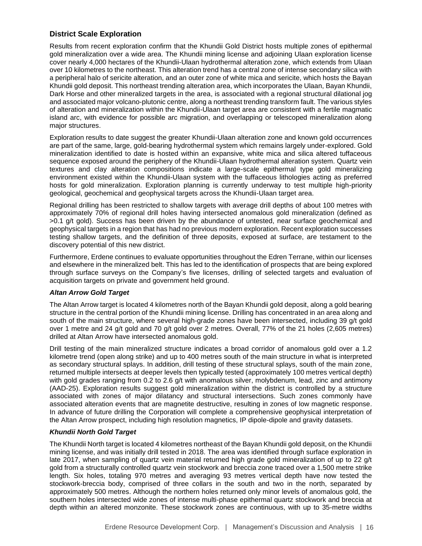# **District Scale Exploration**

Results from recent exploration confirm that the Khundii Gold District hosts multiple zones of epithermal gold mineralization over a wide area. The Khundii mining license and adjoining Ulaan exploration license cover nearly 4,000 hectares of the Khundii-Ulaan hydrothermal alteration zone, which extends from Ulaan over 10 kilometres to the northeast. This alteration trend has a central zone of intense secondary silica with a peripheral halo of sericite alteration, and an outer zone of white mica and sericite, which hosts the Bayan Khundii gold deposit. This northeast trending alteration area, which incorporates the Ulaan, Bayan Khundii, Dark Horse and other mineralized targets in the area, is associated with a regional structural dilational jog and associated major volcano-plutonic centre, along a northeast trending transform fault. The various styles of alteration and mineralization within the Khundii-Ulaan target area are consistent with a fertile magmatic island arc, with evidence for possible arc migration, and overlapping or telescoped mineralization along major structures.

Exploration results to date suggest the greater Khundii-Ulaan alteration zone and known gold occurrences are part of the same, large, gold-bearing hydrothermal system which remains largely under-explored. Gold mineralization identified to date is hosted within an expansive, white mica and silica altered tuffaceous sequence exposed around the periphery of the Khundii-Ulaan hydrothermal alteration system. Quartz vein textures and clay alteration compositions indicate a large-scale epithermal type gold mineralizing environment existed within the Khundii-Ulaan system with the tuffaceous lithologies acting as preferred hosts for gold mineralization. Exploration planning is currently underway to test multiple high-priority geological, geochemical and geophysical targets across the Khundii-Ulaan target area.

Regional drilling has been restricted to shallow targets with average drill depths of about 100 metres with approximately 70% of regional drill holes having intersected anomalous gold mineralization (defined as >0.1 g/t gold). Success has been driven by the abundance of untested, near surface geochemical and geophysical targets in a region that has had no previous modern exploration. Recent exploration successes testing shallow targets, and the definition of three deposits, exposed at surface, are testament to the discovery potential of this new district.

Furthermore, Erdene continues to evaluate opportunities throughout the Edren Terrane, within our licenses and elsewhere in the mineralized belt. This has led to the identification of prospects that are being explored through surface surveys on the Company's five licenses, drilling of selected targets and evaluation of acquisition targets on private and government held ground.

## *Altan Arrow Gold Target*

The Altan Arrow target is located 4 kilometres north of the Bayan Khundii gold deposit, along a gold bearing structure in the central portion of the Khundii mining license. Drilling has concentrated in an area along and south of the main structure, where several high-grade zones have been intersected, including 39 g/t gold over 1 metre and 24 g/t gold and 70 g/t gold over 2 metres. Overall, 77% of the 21 holes (2,605 metres) drilled at Altan Arrow have intersected anomalous gold.

Drill testing of the main mineralized structure indicates a broad corridor of anomalous gold over a 1.2 kilometre trend (open along strike) and up to 400 metres south of the main structure in what is interpreted as secondary structural splays. In addition, drill testing of these structural splays, south of the main zone, returned multiple intersects at deeper levels then typically tested (approximately 100 metres vertical depth) with gold grades ranging from 0.2 to 2.6 g/t with anomalous silver, molybdenum, lead, zinc and antimony (AAD-25). Exploration results suggest gold mineralization within the district is controlled by a structure associated with zones of major dilatancy and structural intersections. Such zones commonly have associated alteration events that are magnetite destructive, resulting in zones of low magnetic response. In advance of future drilling the Corporation will complete a comprehensive geophysical interpretation of the Altan Arrow prospect, including high resolution magnetics, IP dipole-dipole and gravity datasets.

## *Khundii North Gold Target*

The Khundii North target is located 4 kilometres northeast of the Bayan Khundii gold deposit, on the Khundii mining license, and was initially drill tested in 2018. The area was identified through surface exploration in late 2017, when sampling of quartz vein material returned high grade gold mineralization of up to 22 g/t gold from a structurally controlled quartz vein stockwork and breccia zone traced over a 1,500 metre strike length. Six holes, totaling 970 metres and averaging 93 metres vertical depth have now tested the stockwork-breccia body, comprised of three collars in the south and two in the north, separated by approximately 500 metres. Although the northern holes returned only minor levels of anomalous gold, the southern holes intersected wide zones of intense multi-phase epithermal quartz stockwork and breccia at depth within an altered monzonite. These stockwork zones are continuous, with up to 35-metre widths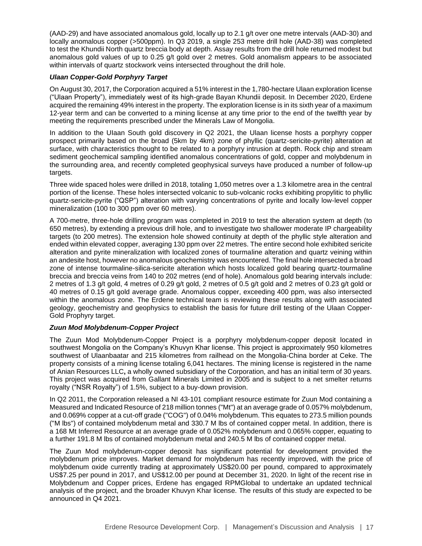(AAD-29) and have associated anomalous gold, locally up to 2.1 g/t over one metre intervals (AAD-30) and locally anomalous copper (>500ppm). In Q3 2019, a single 253 metre drill hole (AAD-38) was completed to test the Khundii North quartz breccia body at depth. Assay results from the drill hole returned modest but anomalous gold values of up to 0.25 g/t gold over 2 metres. Gold anomalism appears to be associated within intervals of quartz stockwork veins intersected throughout the drill hole.

# *Ulaan Copper-Gold Porphyry Target*

On August 30, 2017, the Corporation acquired a 51% interest in the 1,780-hectare Ulaan exploration license ("Ulaan Property"), immediately west of its high-grade Bayan Khundii deposit. In December 2020, Erdene acquired the remaining 49% interest in the property. The exploration license is in its sixth year of a maximum 12-year term and can be converted to a mining license at any time prior to the end of the twelfth year by meeting the requirements prescribed under the Minerals Law of Mongolia.

In addition to the UIaan South gold discovery in Q2 2021, the Ulaan license hosts a porphyry copper prospect primarily based on the broad (5km by 4km) zone of phyllic (quartz-sericite-pyrite) alteration at surface, with characteristics thought to be related to a porphyry intrusion at depth. Rock chip and stream sediment geochemical sampling identified anomalous concentrations of gold, copper and molybdenum in the surrounding area, and recently completed geophysical surveys have produced a number of follow-up targets.

Three wide spaced holes were drilled in 2018, totaling 1,050 metres over a 1.3 kilometre area in the central portion of the license. These holes intersected volcanic to sub-volcanic rocks exhibiting propylitic to phyllic quartz-sericite-pyrite ("QSP") alteration with varying concentrations of pyrite and locally low-level copper mineralization (100 to 300 ppm over 60 metres).

A 700-metre, three-hole drilling program was completed in 2019 to test the alteration system at depth (to 650 metres), by extending a previous drill hole, and to investigate two shallower moderate IP chargeability targets (to 200 metres). The extension hole showed continuity at depth of the phyllic style alteration and ended within elevated copper, averaging 130 ppm over 22 metres. The entire second hole exhibited sericite alteration and pyrite mineralization with localized zones of tourmaline alteration and quartz veining within an andesite host, however no anomalous geochemistry was encountered. The final hole intersected a broad zone of intense tourmaline-silica-sericite alteration which hosts localized gold bearing quartz-tourmaline breccia and breccia veins from 140 to 202 metres (end of hole). Anomalous gold bearing intervals include: 2 metres of 1.3 g/t gold, 4 metres of 0.29 g/t gold, 2 metres of 0.5 g/t gold and 2 metres of 0.23 g/t gold or 40 metres of 0.15 g/t gold average grade. Anomalous copper, exceeding 400 ppm, was also intersected within the anomalous zone. The Erdene technical team is reviewing these results along with associated geology, geochemistry and geophysics to establish the basis for future drill testing of the Ulaan Copper-Gold Prophyry target.

# *Zuun Mod Molybdenum-Copper Project*

The Zuun Mod Molybdenum-Copper Project is a porphyry molybdenum-copper deposit located in southwest Mongolia on the Company's Khuvyn Khar license. This project is approximately 950 kilometres southwest of Ulaanbaatar and 215 kilometres from railhead on the Mongolia-China border at Ceke. The property consists of a mining license totaling 6,041 hectares. The mining license is registered in the name of Anian Resources LLC**,** a wholly owned subsidiary of the Corporation, and has an initial term of 30 years. This project was acquired from Gallant Minerals Limited in 2005 and is subject to a net smelter returns royalty ("NSR Royalty") of 1.5%, subject to a buy-down provision.

In Q2 2011, the Corporation released a NI 43-101 compliant resource estimate for Zuun Mod containing a Measured and Indicated Resource of 218 million tonnes ("Mt") at an average grade of 0.057% molybdenum, and 0.069% copper at a cut-off grade ("COG") of 0.04% molybdenum. This equates to 273.5 million pounds ("M lbs") of contained molybdenum metal and 330.7 M lbs of contained copper metal. In addition, there is a 168 Mt Inferred Resource at an average grade of 0.052% molybdenum and 0.065% copper, equating to a further 191.8 M lbs of contained molybdenum metal and 240.5 M lbs of contained copper metal.

The Zuun Mod molybdenum-copper deposit has significant potential for development provided the molybdenum price improves. Market demand for molybdenum has recently improved, with the price of molybdenum oxide currently trading at approximately US\$20.00 per pound, compared to approximately US\$7.25 per pound in 2017, and US\$12.00 per pound at December 31, 2020. In light of the recent rise in Molybdenum and Copper prices, Erdene has engaged RPMGlobal to undertake an updated technical analysis of the project, and the broader Khuvyn Khar license. The results of this study are expected to be announced in Q4 2021.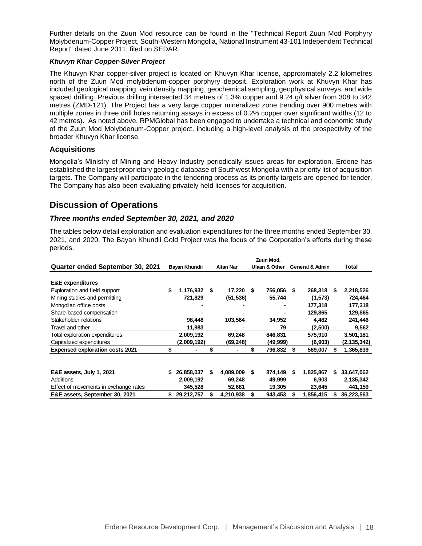Further details on the Zuun Mod resource can be found in the "Technical Report Zuun Mod Porphyry Molybdenum-Copper Project, South-Western Mongolia, National Instrument 43-101 Independent Technical Report" dated June 2011, filed on SEDAR.

## *Khuvyn Khar Copper-Silver Project*

The Khuvyn Khar copper-silver project is located on Khuvyn Khar license, approximately 2.2 kilometres north of the Zuun Mod molybdenum-copper porphyry deposit. Exploration work at Khuvyn Khar has included geological mapping, vein density mapping, geochemical sampling, geophysical surveys, and wide spaced drilling. Previous drilling intersected 34 metres of 1.3% copper and 9.24 g/t silver from 308 to 342 metres (ZMD-121). The Project has a very large copper mineralized zone trending over 900 metres with multiple zones in three drill holes returning assays in excess of 0.2% copper over significant widths (12 to 42 metres). As noted above, RPMGlobal has been engaged to undertake a technical and economic study of the Zuun Mod Molybdenum-Copper project, including a high-level analysis of the prospectivity of the broader Khuvyn Khar license.

# **Acquisitions**

Mongolia's Ministry of Mining and Heavy Industry periodically issues areas for exploration. Erdene has established the largest proprietary geologic database of Southwest Mongolia with a priority list of acquisition targets. The Company will participate in the tendering process as its priority targets are opened for tender. The Company has also been evaluating privately held licenses for acquisition.

# **Discussion of Operations**

# *Three months ended September 30, 2021, and 2020*

The tables below detail exploration and evaluation expenditures for the three months ended September 30, 2021, and 2020. The Bayan Khundii Gold Project was the focus of the Corporation's efforts during these periods.

|                                        | Zuun Mod, |               |                  |           |               |          |                            |           |    |               |
|----------------------------------------|-----------|---------------|------------------|-----------|---------------|----------|----------------------------|-----------|----|---------------|
| Quarter ended September 30, 2021       |           | Bayan Khundii | <b>Altan Nar</b> |           | Ulaan & Other |          | <b>General &amp; Admin</b> |           |    | Total         |
|                                        |           |               |                  |           |               |          |                            |           |    |               |
| <b>E&amp;E</b> expenditures            |           |               |                  |           |               |          |                            |           |    |               |
| Exploration and field support          | \$        | 1,176,932     | S                | 17,220    | S             | 756,056  | S                          | 268,318   | S  | 2,218,526     |
| Mining studies and permitting          |           | 721,829       |                  | (51, 536) |               | 55,744   |                            | (1,573)   |    | 724,464       |
| Mongolian office costs                 |           |               |                  |           |               |          |                            | 177,318   |    | 177,318       |
| Share-based compensation               |           |               |                  |           |               |          |                            | 129,865   |    | 129,865       |
| Stakeholder relations                  |           | 98,448        |                  | 103,564   |               | 34,952   |                            | 4,482     |    | 241,446       |
| Travel and other                       |           | 11,983        |                  |           |               | 79       |                            | (2,500)   |    | 9,562         |
| Total exploration expenditures         |           | 2,009,192     |                  | 69,248    |               | 846,831  |                            | 575,910   |    | 3,501,181     |
| Capitalized expenditures               |           | (2,009,192)   |                  | (69,248)  |               | (49,999) |                            | (6,903)   |    | (2, 135, 342) |
| <b>Expensed exploration costs 2021</b> | \$        |               | \$               |           | \$            | 796,832  | S                          | 569,007   | S  | 1,365,839     |
|                                        |           |               |                  |           |               |          |                            |           |    |               |
| E&E assets, July 1, 2021               |           | 26,858,037    | \$               | 4,089,009 | \$            | 874,149  | \$                         | 1,825,867 | S. | 33,647,062    |
| Additions                              |           | 2,009,192     |                  | 69,248    |               | 49,999   |                            | 6,903     |    | 2,135,342     |
| Effect of movements in exchange rates  |           | 345,528       |                  | 52,681    |               | 19,305   |                            | 23,645    |    | 441,159       |
| E&E assets, September 30, 2021         |           | 29,212,757    | \$               | 4,210,938 |               | 943,453  | S                          | 1,856,415 |    | 36,223,563    |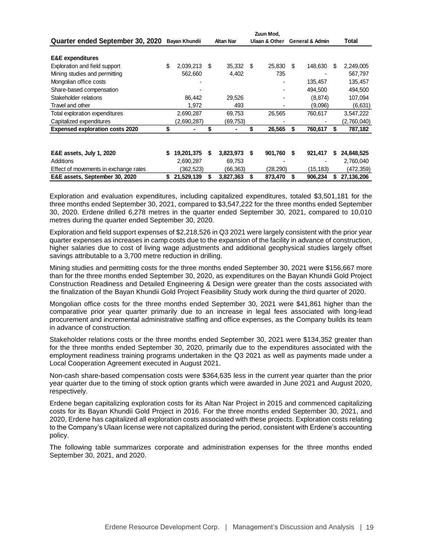|                                        | Zuun Mod, |               |    |                  |    |               |    |                            |   |             |
|----------------------------------------|-----------|---------------|----|------------------|----|---------------|----|----------------------------|---|-------------|
| Quarter ended September 30, 2020       |           | Bayan Khundii |    | <b>Altan Nar</b> |    | Ulaan & Other |    | <b>General &amp; Admin</b> |   | Total       |
|                                        |           |               |    |                  |    |               |    |                            |   |             |
| <b>E&amp;E</b> expenditures            |           |               |    |                  |    |               |    |                            |   |             |
| Exploration and field support          | \$        | 2,039,213     | \$ | 35,332           | -S | 25,830        | \$ | 148,630                    | S | 2,249,005   |
| Mining studies and permitting          |           | 562,660       |    | 4,402            |    | 735           |    |                            |   | 567,797     |
| Mongolian office costs                 |           |               |    |                  |    |               |    | 135,457                    |   | 135,457     |
| Share-based compensation               |           |               |    |                  |    |               |    | 494,500                    |   | 494,500     |
| Stakeholder relations                  |           | 86,442        |    | 29,526           |    |               |    | (8, 874)                   |   | 107,094     |
| Travel and other                       |           | 1,972         |    | 493              |    |               |    | (9.096)                    |   | (6,631)     |
| Total exploration expenditures         |           | 2,690,287     |    | 69,753           |    | 26,565        |    | 760,617                    |   | 3,547,222   |
| Capitalized expenditures               |           | (2,690,287)   |    | (69,753)         |    |               |    |                            |   | (2,760,040) |
| <b>Expensed exploration costs 2020</b> | \$        |               | \$ |                  |    | 26,565        | S  | 760,617                    | S | 787,182     |
|                                        |           |               |    |                  |    |               |    |                            |   |             |
| <b>E&amp;E assets, July 1, 2020</b>    | \$        | 19,201,375    | S  | 3,823,973        | S  | 901,760       | S  | 921,417                    | S | 24,848,525  |
| Additions                              |           | 2,690,287     |    | 69,753           |    |               |    |                            |   | 2,760,040   |
| Effect of movements in exchange rates  |           | (362,523)     |    | (66,363)         |    | (28,290)      |    | (15,183)                   |   | (472,359)   |
| E&E assets, September 30, 2020         | S         | 21,529,139    | S  | 3,827,363        | S  | 873,470       | S  | 906,234                    | S | 27,136,206  |
|                                        |           |               |    |                  |    |               |    |                            |   |             |

Exploration and evaluation expenditures, including capitalized expenditures, totaled \$3,501,181 for the three months ended September 30, 2021, compared to \$3,547,222 for the three months ended September 30, 2020. Erdene drilled 6,278 metres in the quarter ended September 30, 2021, compared to 10,010 metres during the quarter ended September 30, 2020.

Exploration and field support expenses of \$2,218,526 in Q3 2021 were largely consistent with the prior year quarter expenses as increases in camp costs due to the expansion of the facility in advance of construction, higher salaries due to cost of living wage adjustments and additional geophysical studies largely offset savings attributable to a 3,700 metre reduction in drilling.

Mining studies and permitting costs for the three months ended September 30, 2021 were \$156,667 more than for the three months ended September 30, 2020, as expenditures on the Bayan Khundii Gold Project Construction Readiness and Detailed Engineering & Design were greater than the costs associated with the finalization of the Bayan Khundii Gold Project Feasibility Study work during the third quarter of 2020.

Mongolian office costs for the three months ended September 30, 2021 were \$41,861 higher than the comparative prior year quarter primarily due to an increase in legal fees associated with long-lead procurement and incremental administrative staffing and office expenses, as the Company builds its team in advance of construction.

Stakeholder relations costs or the three months ended September 30, 2021 were \$134,352 greater than for the three months ended September 30, 2020, primarily due to the expenditures associated with the employment readiness training programs undertaken in the Q3 2021 as well as payments made under a Local Cooperation Agreement executed in August 2021.

Non-cash share-based compensation costs were \$364,635 less in the current year quarter than the prior year quarter due to the timing of stock option grants which were awarded in June 2021 and August 2020, respectively.

Erdene began capitalizing exploration costs for its Altan Nar Project in 2015 and commenced capitalizing costs for its Bayan Khundii Gold Project in 2016. For the three months ended September 30, 2021, and 2020, Erdene has capitalized all exploration costs associated with these projects. Exploration costs relating to the Company's Ulaan license were not capitalized during the period, consistent with Erdene's accounting policy.

The following table summarizes corporate and administration expenses for the three months ended September 30, 2021, and 2020.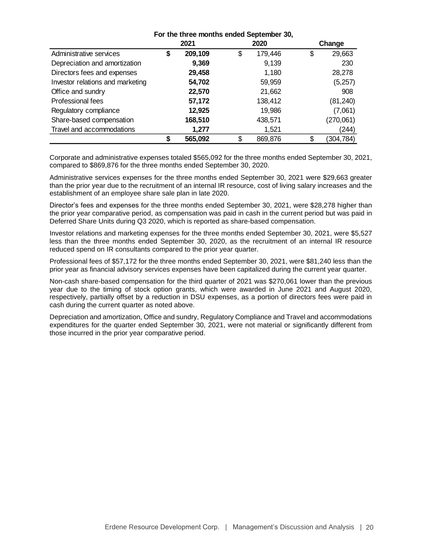|                                  | For the three months ended September 30, |         |    |         |    |            |  |
|----------------------------------|------------------------------------------|---------|----|---------|----|------------|--|
|                                  |                                          | 2021    |    | 2020    |    | Change     |  |
| Administrative services          | \$                                       | 209,109 | \$ | 179,446 | \$ | 29,663     |  |
| Depreciation and amortization    |                                          | 9,369   |    | 9,139   |    | 230        |  |
| Directors fees and expenses      |                                          | 29,458  |    | 1,180   |    | 28,278     |  |
| Investor relations and marketing |                                          | 54,702  |    | 59,959  |    | (5,257)    |  |
| Office and sundry                |                                          | 22,570  |    | 21,662  |    | 908        |  |
| Professional fees                |                                          | 57,172  |    | 138,412 |    | (81, 240)  |  |
| Regulatory compliance            |                                          | 12,925  |    | 19,986  |    | (7,061)    |  |
| Share-based compensation         |                                          | 168,510 |    | 438,571 |    | (270,061)  |  |
| Travel and accommodations        |                                          | 1,277   |    | 1,521   |    | (244)      |  |
|                                  | ¢                                        | 565,092 | \$ | 869,876 | \$ | (304, 784) |  |

Corporate and administrative expenses totaled \$565,092 for the three months ended September 30, 2021, compared to \$869,876 for the three months ended September 30, 2020.

Administrative services expenses for the three months ended September 30, 2021 were \$29,663 greater than the prior year due to the recruitment of an internal IR resource, cost of living salary increases and the establishment of an employee share sale plan in late 2020.

Director's fees and expenses for the three months ended September 30, 2021, were \$28,278 higher than the prior year comparative period, as compensation was paid in cash in the current period but was paid in Deferred Share Units during Q3 2020, which is reported as share-based compensation.

Investor relations and marketing expenses for the three months ended September 30, 2021, were \$5,527 less than the three months ended September 30, 2020, as the recruitment of an internal IR resource reduced spend on IR consultants compared to the prior year quarter.

Professional fees of \$57,172 for the three months ended September 30, 2021, were \$81,240 less than the prior year as financial advisory services expenses have been capitalized during the current year quarter.

Non-cash share-based compensation for the third quarter of 2021 was \$270,061 lower than the previous year due to the timing of stock option grants, which were awarded in June 2021 and August 2020, respectively, partially offset by a reduction in DSU expenses, as a portion of directors fees were paid in cash during the current quarter as noted above.

Depreciation and amortization, Office and sundry, Regulatory Compliance and Travel and accommodations expenditures for the quarter ended September 30, 2021, were not material or significantly different from those incurred in the prior year comparative period.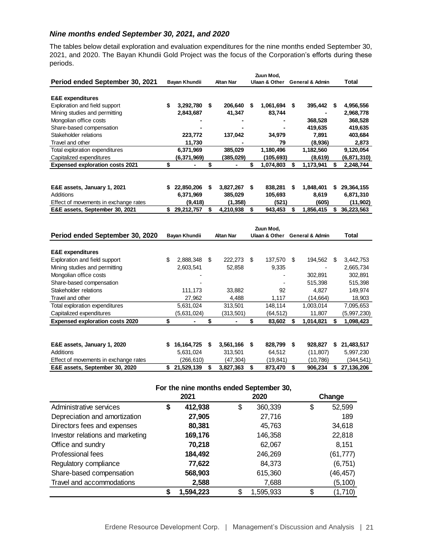# *Nine months ended September 30, 2021, and 2020*

The tables below detail exploration and evaluation expenditures for the nine months ended September 30, 2021, and 2020. The Bayan Khundii Gold Project was the focus of the Corporation's efforts during these periods.

|                                        | Zuun Mod, |               |    |                  |    |                          |    |                            |     |             |
|----------------------------------------|-----------|---------------|----|------------------|----|--------------------------|----|----------------------------|-----|-------------|
| Period ended September 30, 2021        |           | Bayan Khundii |    | <b>Altan Nar</b> |    | <b>Ulaan &amp; Other</b> |    | <b>General &amp; Admin</b> |     | Total       |
|                                        |           |               |    |                  |    |                          |    |                            |     |             |
| <b>E&amp;E</b> expenditures            |           |               |    |                  |    |                          |    |                            |     |             |
| Exploration and field support          | \$        | 3,292,780     | S  | 206,640          | S. | 1,061,694                | S. | 395,442                    | -S. | 4,956,556   |
| Mining studies and permitting          |           | 2,843,687     |    | 41,347           |    | 83,744                   |    |                            |     | 2,968,778   |
| Mongolian office costs                 |           |               |    |                  |    |                          |    | 368,528                    |     | 368,528     |
| Share-based compensation               |           |               |    |                  |    |                          |    | 419,635                    |     | 419,635     |
| Stakeholder relations                  |           | 223,772       |    | 137,042          |    | 34,979                   |    | 7,891                      |     | 403,684     |
| Travel and other                       |           | 11,730        |    |                  |    | 79                       |    | (8,936)                    |     | 2,873       |
| Total exploration expenditures         |           | 6,371,969     |    | 385,029          |    | 1,180,496                |    | 1,182,560                  |     | 9,120,054   |
| Capitalized expenditures               |           | (6,371,969)   |    | (385,029)        |    | (105,693)                |    | (8,619)                    |     | (6,871,310) |
| <b>Expensed exploration costs 2021</b> | \$        |               | \$ |                  | S  | 1,074,803                | \$ | 1,173,941                  | S   | 2,248,744   |
|                                        |           |               |    |                  |    |                          |    |                            |     |             |
|                                        |           |               |    |                  |    |                          |    |                            |     |             |
| E&E assets, January 1, 2021            | S         | 22,850,206    | S  | 3,827,267        | S  | 838,281                  | \$ | 1,848,401                  | S   | 29,364,155  |
| Additions                              |           | 6,371,969     |    | 385,029          |    | 105,693                  |    | 8,619                      |     | 6,871,310   |
| Effect of movements in exchange rates  |           | (9, 418)      |    | (1, 358)         |    | (521)                    |    | (605)                      |     | (11, 902)   |
| E&E assets, September 30, 2021         | S         | 29,212,757    | S  | 4,210,938        | S  | 943,453                  | S  | 1,856,415                  | S.  | 36,223,563  |
|                                        |           |               |    |                  |    |                          |    |                            |     |             |
|                                        |           |               |    |                  |    | Zuun Mod.                |    |                            |     |             |
| Period ended September 30, 2020        |           | Bayan Khundii |    | <b>Altan Nar</b> |    | Ulaan & Other            |    | <b>General &amp; Admin</b> |     | Total       |
|                                        |           |               |    |                  |    |                          |    |                            |     |             |
| <b>E&amp;E</b> expenditures            |           |               |    |                  |    |                          |    |                            |     |             |
|                                        |           |               |    |                  |    |                          |    |                            |     |             |

| Exploration and field support          | \$ | 2,888,348   | S | 222.273   | \$.  | 137.570  | S | 194.562   | S | 3,442,753   |
|----------------------------------------|----|-------------|---|-----------|------|----------|---|-----------|---|-------------|
| Mining studies and permitting          |    | 2,603,541   |   | 52,858    |      | 9,335    |   |           |   | 2,665,734   |
| Mongolian office costs                 |    |             |   |           |      |          |   | 302.891   |   | 302,891     |
| Share-based compensation               |    |             |   |           |      |          |   | 515,398   |   | 515,398     |
| Stakeholder relations                  |    | 111,173     |   | 33,882    |      | 92       |   | 4.827     |   | 149,974     |
| Travel and other                       |    | 27,962      |   | 4,488     |      | 1,117    |   | (14, 664) |   | 18,903      |
| Total exploration expenditures         |    | 5,631,024   |   | 313,501   |      | 148.114  |   | 1.003.014 |   | 7,095,653   |
| Capitalized expenditures               |    | (5,631,024) |   | (313,501) |      | (64,512) |   | 11,807    |   | (5,997,230) |
| <b>Expensed exploration costs 2020</b> |    |             |   |           |      | 83,602   | S | 1,014,821 | S | 1,098,423   |
|                                        |    |             |   |           |      |          |   |           |   |             |
| E&E assets, January 1, 2020            | S  | 16,164,725  | S | 3,561,166 | - \$ | 828.799  | S | 928.827   | S | 21,483,517  |
| Additions                              |    | 5,631,024   |   | 313,501   |      | 64.512   |   | (11, 807) |   | 5,997,230   |
| Effect of movements in exchange rates  |    | (266,610)   |   | (47,304)  |      | (19,841) |   | (10,786)  |   | (344, 541)  |
| E&E assets, September 30, 2020         | \$ | 21,529,139  |   | 3,827,363 |      | 873,470  | S | 906,234   |   | 27,136,206  |

## **For the nine months ended September 30,**

|                                  | 2021            | 2020            | Change        |
|----------------------------------|-----------------|-----------------|---------------|
| Administrative services          | \$<br>412,938   | \$<br>360,339   | \$<br>52,599  |
| Depreciation and amortization    | 27,905          | 27,716          | 189           |
| Directors fees and expenses      | 80,381          | 45,763          | 34,618        |
| Investor relations and marketing | 169,176         | 146,358         | 22,818        |
| Office and sundry                | 70,218          | 62,067          | 8,151         |
| Professional fees                | 184,492         | 246,269         | (61, 777)     |
| Regulatory compliance            | 77,622          | 84,373          | (6, 751)      |
| Share-based compensation         | 568,903         | 615,360         | (46, 457)     |
| Travel and accommodations        | 2,588           | 7,688           | (5, 100)      |
|                                  | \$<br>1,594,223 | \$<br>1,595,933 | \$<br>(1,710) |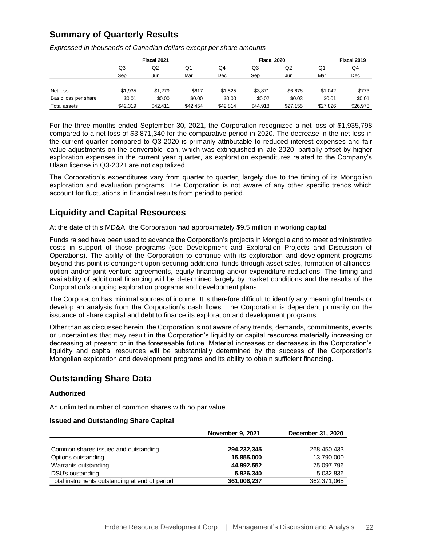# **Summary of Quarterly Results**

*Expressed in thousands of Canadian dollars except per share amounts*

|                      |          | Fiscal 2021 |          |          |          | Fiscal 2019 |          |          |
|----------------------|----------|-------------|----------|----------|----------|-------------|----------|----------|
|                      | Q3       | Q2          |          | Q4       | Q3       | Q2          | Q1       | Q4       |
|                      | Sep      | Jun         | Mar      | Dec      | Sep      | Jun         | Mar      | Dec      |
|                      |          |             |          |          |          |             |          |          |
| Net loss             | \$1.935  | \$1,279     | \$617    | \$1,525  | \$3,871  | \$6,678     | \$1,042  | \$773    |
| Basic loss per share | \$0.01   | \$0.00      | \$0.00   | \$0.00   | \$0.02   | \$0.03      | \$0.01   | \$0.01   |
| <b>Total assets</b>  | \$42,319 | \$42.411    | \$42,454 | \$42.814 | \$44.918 | \$27,155    | \$27.826 | \$26,973 |

For the three months ended September 30, 2021, the Corporation recognized a net loss of \$1,935,798 compared to a net loss of \$3,871,340 for the comparative period in 2020. The decrease in the net loss in the current quarter compared to Q3-2020 is primarily attributable to reduced interest expenses and fair value adjustments on the convertible loan, which was extinguished in late 2020, partially offset by higher exploration expenses in the current year quarter, as exploration expenditures related to the Company's Ulaan license in Q3-2021 are not capitalized.

The Corporation's expenditures vary from quarter to quarter, largely due to the timing of its Mongolian exploration and evaluation programs. The Corporation is not aware of any other specific trends which account for fluctuations in financial results from period to period.

# **Liquidity and Capital Resources**

At the date of this MD&A, the Corporation had approximately \$9.5 million in working capital.

Funds raised have been used to advance the Corporation's projects in Mongolia and to meet administrative costs in support of those programs (see Development and Exploration Projects and Discussion of Operations). The ability of the Corporation to continue with its exploration and development programs beyond this point is contingent upon securing additional funds through asset sales, formation of alliances, option and/or joint venture agreements, equity financing and/or expenditure reductions. The timing and availability of additional financing will be determined largely by market conditions and the results of the Corporation's ongoing exploration programs and development plans.

The Corporation has minimal sources of income. It is therefore difficult to identify any meaningful trends or develop an analysis from the Corporation's cash flows. The Corporation is dependent primarily on the issuance of share capital and debt to finance its exploration and development programs.

Other than as discussed herein, the Corporation is not aware of any trends, demands, commitments, events or uncertainties that may result in the Corporation's liquidity or capital resources materially increasing or decreasing at present or in the foreseeable future. Material increases or decreases in the Corporation's liquidity and capital resources will be substantially determined by the success of the Corporation's Mongolian exploration and development programs and its ability to obtain sufficient financing.

# **Outstanding Share Data**

# **Authorized**

An unlimited number of common shares with no par value.

## **Issued and Outstanding Share Capital**

|                                                | November 9, 2021 | December 31, 2020 |
|------------------------------------------------|------------------|-------------------|
|                                                |                  |                   |
| Common shares issued and outstanding           | 294,232,345      | 268,450,433       |
| Options outstanding                            | 15,855,000       | 13,790,000        |
| Warrants outstanding                           | 44,992,552       | 75,097,796        |
| DSU's oustanding                               | 5,926,340        | 5,032,836         |
| Total instruments outstanding at end of period | 361,006,237      | 362,371,065       |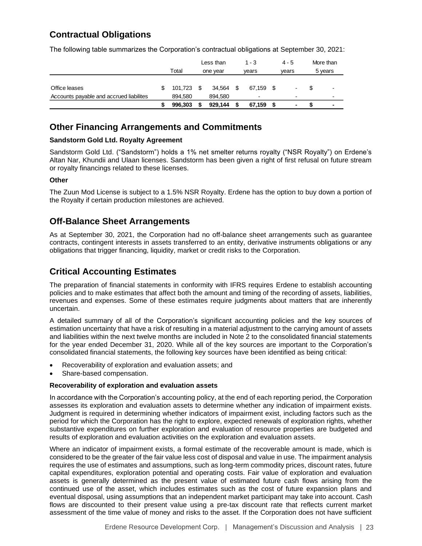# **Contractual Obligations**

The following table summarizes the Corporation's contractual obligations at September 30, 2021:

|                                         |       |         |          | Less than | $1 - 3$ |        |       | $4 - 5$                  | More than |                |  |
|-----------------------------------------|-------|---------|----------|-----------|---------|--------|-------|--------------------------|-----------|----------------|--|
|                                         | Total |         | one year |           | vears   |        | vears |                          |           | 5 years        |  |
|                                         |       |         |          |           |         |        |       |                          |           |                |  |
| Office leases                           |       | 101.723 | - \$     | 34.564    | - \$    | 67.159 | - \$  | $\overline{\phantom{a}}$ |           | $\blacksquare$ |  |
| Accounts payable and accrued liabilites |       | 894.580 |          | 894.580   |         |        |       | $\overline{\phantom{0}}$ |           | -              |  |
|                                         |       | 996.303 | S        | 929.144   |         | 67,159 |       | ٠                        |           | -              |  |

# **Other Financing Arrangements and Commitments**

# **Sandstorm Gold Ltd. Royalty Agreement**

Sandstorm Gold Ltd. ("Sandstorm") holds a 1% net smelter returns royalty ("NSR Royalty") on Erdene's Altan Nar, Khundii and Ulaan licenses. Sandstorm has been given a right of first refusal on future stream or royalty financings related to these licenses.

# **Other**

The Zuun Mod License is subject to a 1.5% NSR Royalty. Erdene has the option to buy down a portion of the Royalty if certain production milestones are achieved.

# **Off-Balance Sheet Arrangements**

As at September 30, 2021, the Corporation had no off-balance sheet arrangements such as guarantee contracts, contingent interests in assets transferred to an entity, derivative instruments obligations or any obligations that trigger financing, liquidity, market or credit risks to the Corporation.

# **Critical Accounting Estimates**

The preparation of financial statements in conformity with IFRS requires Erdene to establish accounting policies and to make estimates that affect both the amount and timing of the recording of assets, liabilities, revenues and expenses. Some of these estimates require judgments about matters that are inherently uncertain.

A detailed summary of all of the Corporation's significant accounting policies and the key sources of estimation uncertainty that have a risk of resulting in a material adjustment to the carrying amount of assets and liabilities within the next twelve months are included in Note 2 to the consolidated financial statements for the year ended December 31, 2020. While all of the key sources are important to the Corporation's consolidated financial statements, the following key sources have been identified as being critical:

- Recoverability of exploration and evaluation assets; and
- Share-based compensation.

## **Recoverability of exploration and evaluation assets**

In accordance with the Corporation's accounting policy, at the end of each reporting period, the Corporation assesses its exploration and evaluation assets to determine whether any indication of impairment exists. Judgment is required in determining whether indicators of impairment exist, including factors such as the period for which the Corporation has the right to explore, expected renewals of exploration rights, whether substantive expenditures on further exploration and evaluation of resource properties are budgeted and results of exploration and evaluation activities on the exploration and evaluation assets.

Where an indicator of impairment exists, a formal estimate of the recoverable amount is made, which is considered to be the greater of the fair value less cost of disposal and value in use. The impairment analysis requires the use of estimates and assumptions, such as long-term commodity prices, discount rates, future capital expenditures, exploration potential and operating costs. Fair value of exploration and evaluation assets is generally determined as the present value of estimated future cash flows arising from the continued use of the asset, which includes estimates such as the cost of future expansion plans and eventual disposal, using assumptions that an independent market participant may take into account. Cash flows are discounted to their present value using a pre-tax discount rate that reflects current market assessment of the time value of money and risks to the asset. If the Corporation does not have sufficient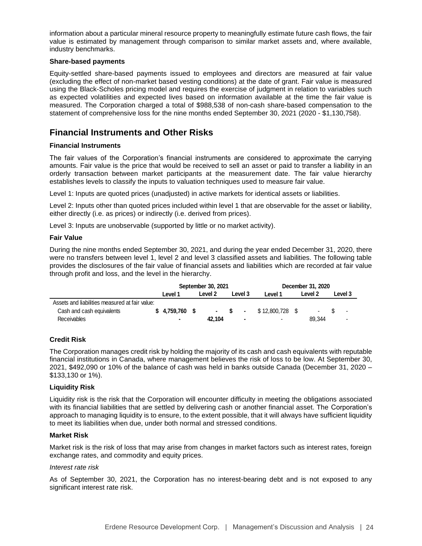information about a particular mineral resource property to meaningfully estimate future cash flows, the fair value is estimated by management through comparison to similar market assets and, where available, industry benchmarks.

#### **Share-based payments**

Equity-settled share-based payments issued to employees and directors are measured at fair value (excluding the effect of non-market based vesting conditions) at the date of grant. Fair value is measured using the Black-Scholes pricing model and requires the exercise of judgment in relation to variables such as expected volatilities and expected lives based on information available at the time the fair value is measured. The Corporation charged a total of \$988,538 of non-cash share-based compensation to the statement of comprehensive loss for the nine months ended September 30, 2021 (2020 - \$1,130,758).

# **Financial Instruments and Other Risks**

## **Financial Instruments**

The fair values of the Corporation's financial instruments are considered to approximate the carrying amounts. Fair value is the price that would be received to sell an asset or paid to transfer a liability in an orderly transaction between market participants at the measurement date. The fair value hierarchy establishes levels to classify the inputs to valuation techniques used to measure fair value.

Level 1: Inputs are quoted prices (unadjusted) in active markets for identical assets or liabilities.

Level 2: Inputs other than quoted prices included within level 1 that are observable for the asset or liability, either directly (i.e. as prices) or indirectly (i.e. derived from prices).

Level 3: Inputs are unobservable (supported by little or no market activity).

#### **Fair Value**

During the nine months ended September 30, 2021, and during the year ended December 31, 2020, there were no transfers between level 1, level 2 and level 3 classified assets and liabilities. The following table provides the disclosures of the fair value of financial assets and liabilities which are recorded at fair value through profit and loss, and the level in the hierarchy.

|                                                |  |                 |  | September 30, 2021 |          |                  | December 31, 2020 |         |                |   |         |         |
|------------------------------------------------|--|-----------------|--|--------------------|----------|------------------|-------------------|---------|----------------|---|---------|---------|
|                                                |  | Level 1         |  |                    |          | Level 2          |                   | Level 3 | Level 1        |   | Level 2 | Level 3 |
| Assets and liabilities measured at fair value: |  |                 |  |                    |          |                  |                   |         |                |   |         |         |
| Cash and cash equivalents                      |  | $$4.759.760$ \$ |  | $\sim$             | <b>S</b> | $\sim$ 100 $\pm$ | \$12.800.728 \$   |         | $\blacksquare$ | ۰ |         |         |
| Receivables                                    |  |                 |  | 42.104             |          | $\blacksquare$   | $\blacksquare$    |         | 89.344         | ۰ |         |         |

## **Credit Risk**

The Corporation manages credit risk by holding the majority of its cash and cash equivalents with reputable financial institutions in Canada, where management believes the risk of loss to be low. At September 30, 2021, \$492,090 or 10% of the balance of cash was held in banks outside Canada (December 31, 2020 – \$133,130 or 1%).

## **Liquidity Risk**

Liquidity risk is the risk that the Corporation will encounter difficulty in meeting the obligations associated with its financial liabilities that are settled by delivering cash or another financial asset. The Corporation's approach to managing liquidity is to ensure, to the extent possible, that it will always have sufficient liquidity to meet its liabilities when due, under both normal and stressed conditions.

## **Market Risk**

Market risk is the risk of loss that may arise from changes in market factors such as interest rates, foreign exchange rates, and commodity and equity prices.

#### *Interest rate risk*

As of September 30, 2021, the Corporation has no interest-bearing debt and is not exposed to any significant interest rate risk.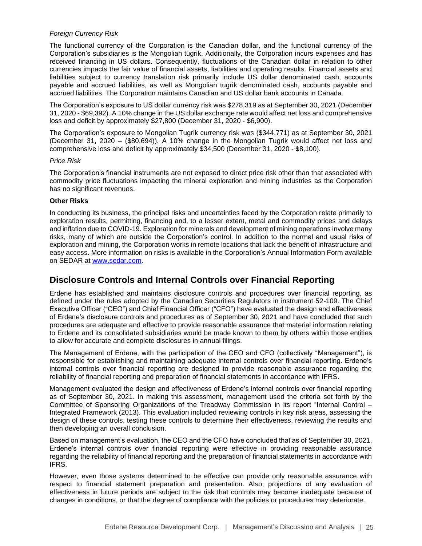## *Foreign Currency Risk*

The functional currency of the Corporation is the Canadian dollar, and the functional currency of the Corporation's subsidiaries is the Mongolian tugrik. Additionally, the Corporation incurs expenses and has received financing in US dollars. Consequently, fluctuations of the Canadian dollar in relation to other currencies impacts the fair value of financial assets, liabilities and operating results. Financial assets and liabilities subject to currency translation risk primarily include US dollar denominated cash, accounts payable and accrued liabilities, as well as Mongolian tugrik denominated cash, accounts payable and accrued liabilities. The Corporation maintains Canadian and US dollar bank accounts in Canada.

The Corporation's exposure to US dollar currency risk was \$278,319 as at September 30, 2021 (December 31, 2020 - \$69,392). A 10% change in the US dollar exchange rate would affect net loss and comprehensive loss and deficit by approximately \$27,800 (December 31, 2020 - \$6,900).

The Corporation's exposure to Mongolian Tugrik currency risk was (\$344,771) as at September 30, 2021 (December 31, 2020 – (\$80,694)). A 10% change in the Mongolian Tugrik would affect net loss and comprehensive loss and deficit by approximately \$34,500 (December 31, 2020 - \$8,100).

## *Price Risk*

The Corporation's financial instruments are not exposed to direct price risk other than that associated with commodity price fluctuations impacting the mineral exploration and mining industries as the Corporation has no significant revenues.

# **Other Risks**

In conducting its business, the principal risks and uncertainties faced by the Corporation relate primarily to exploration results, permitting, financing and, to a lesser extent, metal and commodity prices and delays and inflation due to COVID-19. Exploration for minerals and development of mining operations involve many risks, many of which are outside the Corporation's control. In addition to the normal and usual risks of exploration and mining, the Corporation works in remote locations that lack the benefit of infrastructure and easy access. More information on risks is available in the Corporation's Annual Information Form available on SEDAR at [www.sedar.com.](http://www.sedar.com/)

# **Disclosure Controls and Internal Controls over Financial Reporting**

Erdene has established and maintains disclosure controls and procedures over financial reporting, as defined under the rules adopted by the Canadian Securities Regulators in instrument 52-109. The Chief Executive Officer ("CEO") and Chief Financial Officer ("CFO") have evaluated the design and effectiveness of Erdene's disclosure controls and procedures as of September 30, 2021 and have concluded that such procedures are adequate and effective to provide reasonable assurance that material information relating to Erdene and its consolidated subsidiaries would be made known to them by others within those entities to allow for accurate and complete disclosures in annual filings.

The Management of Erdene, with the participation of the CEO and CFO (collectively "Management"), is responsible for establishing and maintaining adequate internal controls over financial reporting. Erdene's internal controls over financial reporting are designed to provide reasonable assurance regarding the reliability of financial reporting and preparation of financial statements in accordance with IFRS.

Management evaluated the design and effectiveness of Erdene's internal controls over financial reporting as of September 30, 2021. In making this assessment, management used the criteria set forth by the Committee of Sponsoring Organizations of the Treadway Commission in its report "Internal Control – Integrated Framework (2013). This evaluation included reviewing controls in key risk areas, assessing the design of these controls, testing these controls to determine their effectiveness, reviewing the results and then developing an overall conclusion.

Based on management's evaluation, the CEO and the CFO have concluded that as of September 30, 2021, Erdene's internal controls over financial reporting were effective in providing reasonable assurance regarding the reliability of financial reporting and the preparation of financial statements in accordance with IFRS.

However, even those systems determined to be effective can provide only reasonable assurance with respect to financial statement preparation and presentation. Also, projections of any evaluation of effectiveness in future periods are subject to the risk that controls may become inadequate because of changes in conditions, or that the degree of compliance with the policies or procedures may deteriorate.